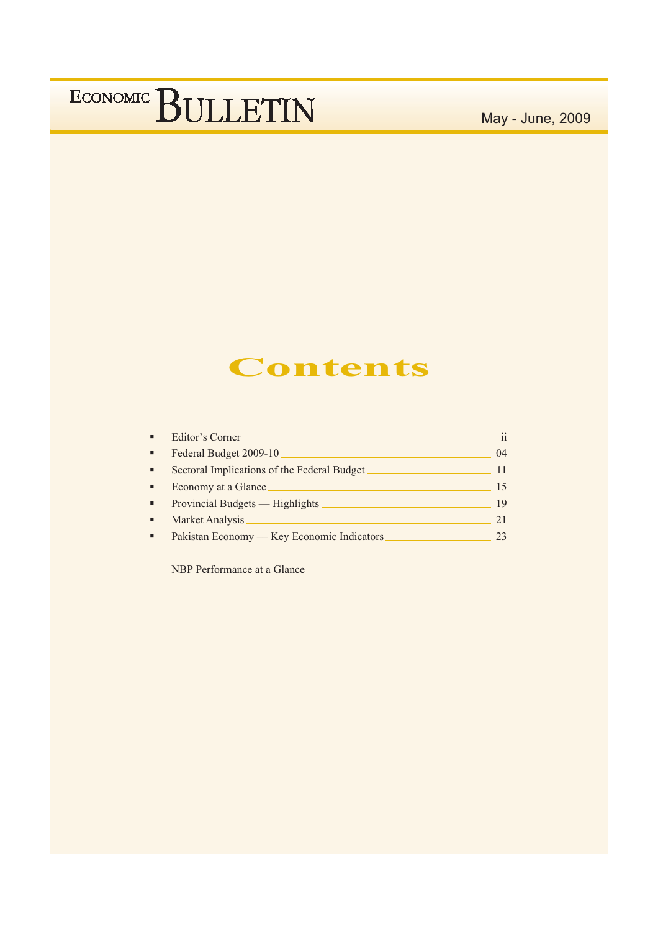May - June, 2009

### **Contents**

| Federal Budget 2009-10<br>٠<br>Sectoral Implications of the Federal Budget<br>٠<br>Economy at a Glance<br>٠<br>Provincial Budgets — Highlights<br>$\blacksquare$<br>Market Analysis<br>$\blacksquare$<br>Pakistan Economy — Key Economic Indicators | ٠ | Editor's Corner. | $\mathbf{i}$ |
|-----------------------------------------------------------------------------------------------------------------------------------------------------------------------------------------------------------------------------------------------------|---|------------------|--------------|
|                                                                                                                                                                                                                                                     |   |                  | 04           |
|                                                                                                                                                                                                                                                     |   |                  | 11           |
|                                                                                                                                                                                                                                                     |   |                  | 15           |
|                                                                                                                                                                                                                                                     |   |                  | 19           |
|                                                                                                                                                                                                                                                     |   |                  | 21           |
|                                                                                                                                                                                                                                                     |   |                  | 23           |

NBP Performance at a Glance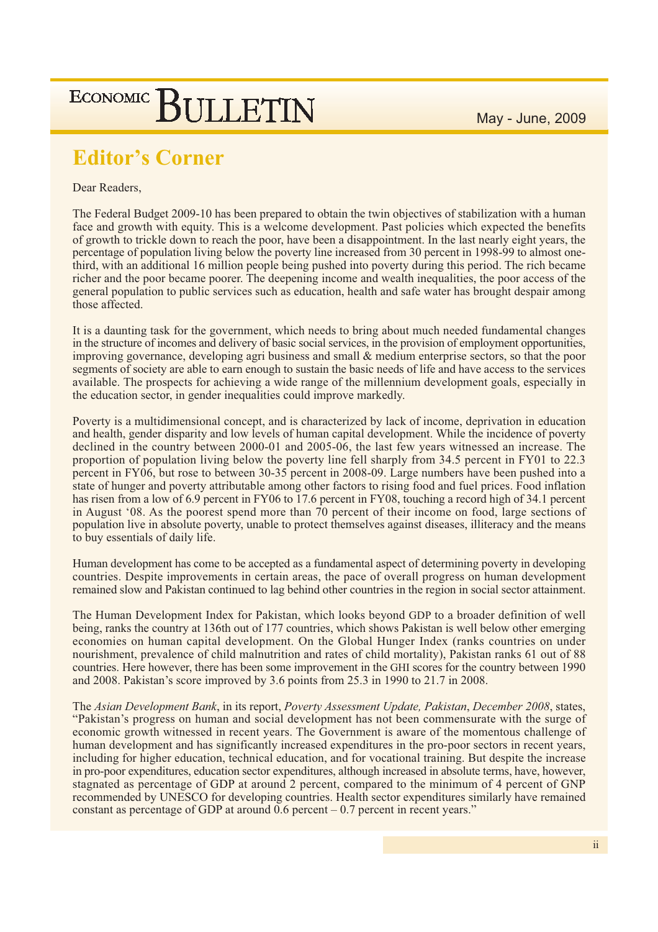### **Editor's Corner**

Dear Readers,

The Federal Budget 2009-10 has been prepared to obtain the twin objectives of stabilization with a human face and growth with equity. This is a welcome development. Past policies which expected the benefits of growth to trickle down to reach the poor, have been a disappointment. In the last nearly eight years, the percentage of population living below the poverty line increased from 30 percent in 1998-99 to almost onethird, with an additional 16 million people being pushed into poverty during this period. The rich became richer and the poor became poorer. The deepening income and wealth inequalities, the poor access of the general population to public services such as education, health and safe water has brought despair among those affected.

It is a daunting task for the government, which needs to bring about much needed fundamental changes in the structure of incomes and delivery of basic social services, in the provision of employment opportunities, improving governance, developing agri business and small & medium enterprise sectors, so that the poor segments of society are able to earn enough to sustain the basic needs of life and have access to the services available. The prospects for achieving a wide range of the millennium development goals, especially in the education sector, in gender inequalities could improve markedly.

Poverty is a multidimensional concept, and is characterized by lack of income, deprivation in education and health, gender disparity and low levels of human capital development. While the incidence of poverty declined in the country between  $2000-01$  and  $2005-06$ , the last few years witnessed an increase. The proportion of population living below the poverty line fell sharply from 34.5 percent in FY01 to 22.3 percent in FY06, but rose to between 30-35 percent in 2008-09. Large numbers have been pushed into a state of hunger and poverty attributable among other factors to rising food and fuel prices. Food inflation has risen from a low of 6.9 percent in FY06 to 17.6 percent in FY08, touching a record high of 34.1 percent in August '08. As the poorest spend more than 70 percent of their income on food, large sections of population live in absolute poverty, unable to protect themselves against diseases, illiteracy and the means to buy essentials of daily life.

Human development has come to be accepted as a fundamental aspect of determining poverty in developing countries. Despite improvements in certain areas, the pace of overall progress on human development remained slow and Pakistan continued to lag behind other countries in the region in social sector attainment.

The Human Development Index for Pakistan, which looks beyond GDP to a broader definition of well being, ranks the country at 136th out of 177 countries, which shows Pakistan is well below other emerging economies on human capital development. On the Global Hunger Index (ranks countries on under nourishment, prevalence of child malnutrition and rates of child mortality), Pakistan ranks 61 out of 88 countries. Here however, there has been some improvement in the GHI scores for the country between 1990 and 2008. Pakistan's score improved by 3.6 points from 25.3 in 1990 to 21.7 in 2008.

The Asian Development Bank, in its report, Poverty Assessment Update, Pakistan, December 2008, states, "Pakistan's progress on human and social development has not been commensurate with the surge of economic growth witnessed in recent years. The Government is aware of the momentous challenge of human development and has significantly increased expenditures in the pro-poor sectors in recent years, including for higher education, technical education, and for vocational training. But despite the increase in pro-poor expenditures, education sector expenditures, although increased in absolute terms, have, however, stagnated as percentage of GDP at around 2 percent, compared to the minimum of 4 percent of GNP recommended by UNESCO for developing countries. Health sector expenditures similarly have remained constant as percentage of GDP at around 0.6 percent  $-0.7$  percent in recent years."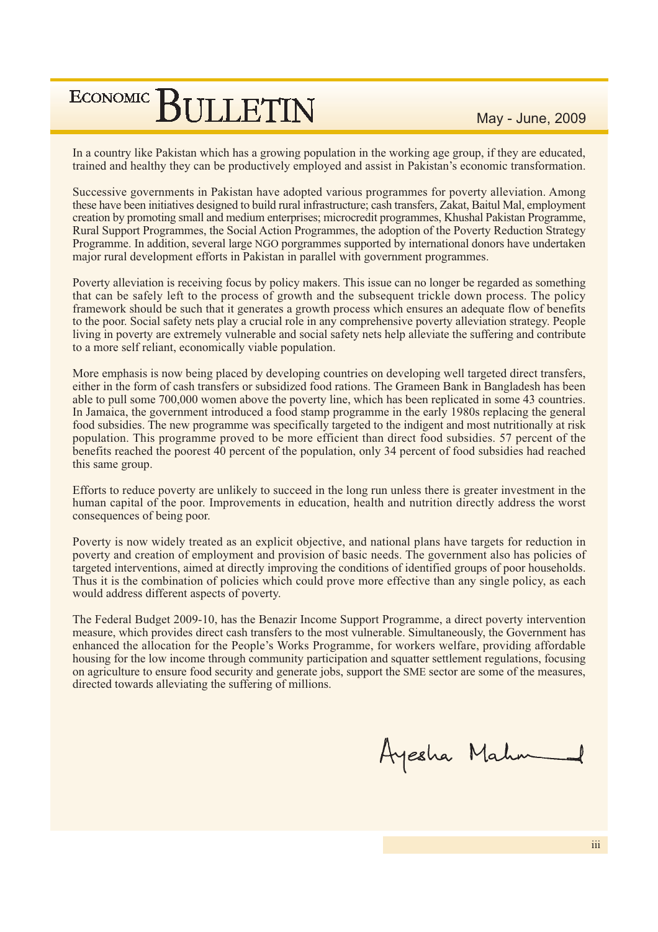May - June, 2009

In a country like Pakistan which has a growing population in the working age group, if they are educated, trained and healthy they can be productively employed and assist in Pakistan's economic transformation.

Successive governments in Pakistan have adopted various programmes for poverty alleviation. Among these have been initiatives designed to build rural infrastructure; cash transfers, Zakat, Baitul Mal, employment creation by promoting small and medium enterprises; microcredit programmes, Khushal Pakistan Programme, Rural Support Programmes, the Social Action Programmes, the adoption of the Poverty Reduction Strategy Programme. In addition, several large NGO porgrammes supported by international donors have undertaken major rural development efforts in Pakistan in parallel with government programmes.

Poverty alleviation is receiving focus by policy makers. This issue can no longer be regarded as something that can be safely left to the process of growth and the subsequent trickle down process. The policy framework should be such that it generates a growth process which ensures an adequate flow of benefits to the poor. Social safety nets play a crucial role in any comprehensive poverty alleviation strategy. People living in poverty are extremely vulnerable and social safety nets help alleviate the suffering and contribute to a more self reliant, economically viable population.

More emphasis is now being placed by developing countries on developing well targeted direct transfers, either in the form of cash transfers or subsidized food rations. The Grameen Bank in Bangladesh has been able to pull some 700,000 women above the poverty line, which has been replicated in some 43 countries. In Jamaica, the government introduced a food stamp programme in the early 1980s replacing the general food subsidies. The new programme was specifically targeted to the indigent and most nutritionally at risk population. This programme proved to be more efficient than direct food subsidies. 57 percent of the benefits reached the poorest 40 percent of the population, only 34 percent of food subsidies had reached this same group.

Efforts to reduce poverty are unlikely to succeed in the long run unless there is greater investment in the human capital of the poor. Improvements in education, health and nutrition directly address the worst consequences of being poor.

Poverty is now widely treated as an explicit objective, and national plans have targets for reduction in poverty and creation of employment and provision of basic needs. The government also has policies of targeted interventions, aimed at directly improving the conditions of identified groups of poor households. Thus it is the combination of policies which could prove more effective than any single policy, as each would address different aspects of poverty.

The Federal Budget 2009-10, has the Benazir Income Support Programme, a direct poverty intervention measure, which provides direct cash transfers to the most vulnerable. Simultaneously, the Government has enhanced the allocation for the People's Works Programme, for workers welfare, providing affordable housing for the low income through community participation and squatter settlement regulations, focusing on agriculture to ensure food security and generate jobs, support the SME sector are some of the measures, directed towards alleviating the suffering of millions.

Ayesha Mahn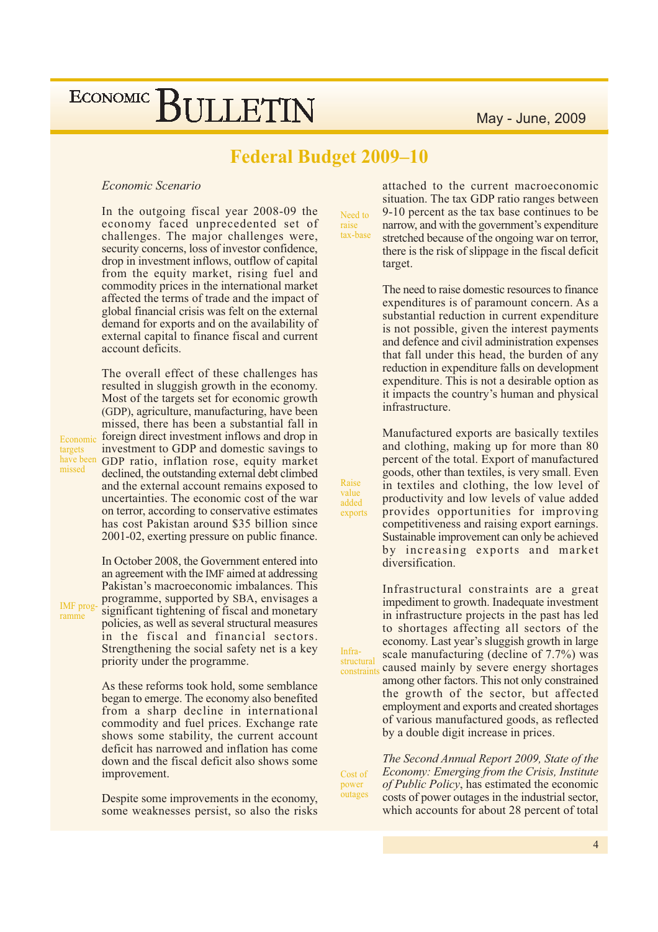### **Federal Budget 2009-10**

#### Economic Scenario

In the outgoing fiscal year 2008-09 the economy faced unprecedented set of challenges. The major challenges were, security concerns, loss of investor confidence, drop in investment inflows, outflow of capital from the equity market, rising fuel and commodity prices in the international market affected the terms of trade and the impact of global financial crisis was felt on the external demand for exports and on the availability of external capital to finance fiscal and current account deficits

The overall effect of these challenges has resulted in sluggish growth in the economy. Most of the targets set for economic growth (GDP), agriculture, manufacturing, have been missed, there has been a substantial fall in foreign direct investment inflows and drop in investment to GDP and domestic savings to have been GDP ratio, inflation rose, equity market declined, the outstanding external debt climbed and the external account remains exposed to uncertainties. The economic cost of the war on terror, according to conservative estimates has cost Pakistan around \$35 billion since 2001-02, exerting pressure on public finance.

> In October 2008, the Government entered into an agreement with the IMF aimed at addressing Pakistan's macroeconomic imbalances. This programme, supported by SBA, envisages a significant tightening of fiscal and monetary policies, as well as several structural measures in the fiscal and financial sectors. Strengthening the social safety net is a key priority under the programme.

> As these reforms took hold, some semblance began to emerge. The economy also benefited from a sharp decline in international commodity and fuel prices. Exchange rate shows some stability, the current account deficit has narrowed and inflation has come down and the fiscal deficit also shows some improvement.

> Despite some improvements in the economy, some weaknesses persist, so also the risks

Need to raise<br>tax-base

Raise

value

added

Infra-

structural

Cost of

power outages

exports

attached to the current macroeconomic situation. The tax GDP ratio ranges between 9-10 percent as the tax base continues to be narrow, and with the government's expenditure stretched because of the ongoing war on terror, there is the risk of slippage in the fiscal deficit target.

The need to raise domestic resources to finance expenditures is of paramount concern. As a substantial reduction in current expenditure is not possible, given the interest payments and defence and civil administration expenses that fall under this head, the burden of any reduction in expenditure falls on development expenditure. This is not a desirable option as it impacts the country's human and physical infrastructure.

Manufactured exports are basically textiles and clothing, making up for more than 80 percent of the total. Export of manufactured goods, other than textiles, is very small. Even in textiles and clothing, the low level of productivity and low levels of value added provides opportunities for improving competitiveness and raising export earnings. Sustainable improvement can only be achieved by increasing exports and market diversification.

Infrastructural constraints are a great impediment to growth. Inadequate investment in infrastructure projects in the past has led to shortages affecting all sectors of the economy. Last year's sluggish growth in large scale manufacturing (decline of 7.7%) was caused mainly by severe energy shortages constraints among other factors. This not only constrained the growth of the sector, but affected employment and exports and created shortages of various manufactured goods, as reflected by a double digit increase in prices.

> The Second Annual Report 2009, State of the Economy: Emerging from the Crisis, Institute of Public Policy, has estimated the economic costs of power outages in the industrial sector, which accounts for about 28 percent of total

IMF programme

Economic

targets

missed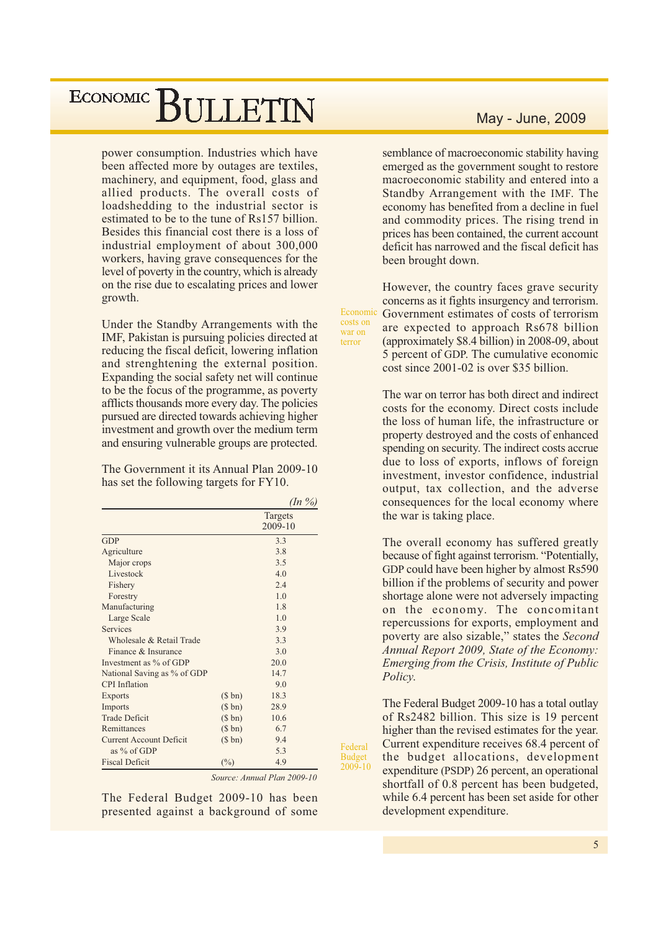power consumption. Industries which have been affected more by outages are textiles, machinery, and equipment, food, glass and allied products. The overall costs of loadshedding to the industrial sector is estimated to be to the tune of Rs157 billion. Besides this financial cost there is a loss of industrial employment of about 300,000 workers, having grave consequences for the level of poverty in the country, which is already on the rise due to escalating prices and lower growth.

Under the Standby Arrangements with the IMF, Pakistan is pursuing policies directed at reducing the fiscal deficit, lowering inflation and strenghtening the external position. Expanding the social safety net will continue to be the focus of the programme, as poverty afflicts thousands more every day. The policies pursued are directed towards achieving higher investment and growth over the medium term and ensuring vulnerable groups are protected.

The Government it its Annual Plan 2009-10 has set the following targets for FY10.

|                                |        | $($ ln \frac{9}{6} $)$ |
|--------------------------------|--------|------------------------|
|                                |        | Targets<br>2009-10     |
| <b>GDP</b>                     |        | 3.3                    |
| Agriculture                    |        | 3.8                    |
| Major crops                    |        | 3.5                    |
| Livestock                      |        | 4.0                    |
| Fishery                        |        | 2.4                    |
| Forestry                       |        | 1 <sub>0</sub>         |
| Manufacturing                  |        | 18                     |
| Large Scale                    |        | 1.0                    |
| Services                       |        | 3.9                    |
| Wholesale & Retail Trade       |        | 3.3                    |
| Finance & Insurance            |        | 3 <sub>0</sub>         |
| Investment as % of GDP         |        | 20.0                   |
| National Saving as % of GDP    |        | 14.7                   |
| <b>CPI</b> Inflation           |        | 9.0                    |
| <b>Exports</b>                 | (\$bn) | 18.3                   |
| Imports                        | (\$bn) | 28.9                   |
| <b>Trade Deficit</b>           | (\$bn) | 10.6                   |
| Remittances                    | (\$bn) | 6.7                    |
| <b>Current Account Deficit</b> | (\$bn) | 9.4                    |
| as $%$ of GDP                  |        | 5.3                    |
| <b>Fiscal Deficit</b>          | $(\%)$ | 4.9                    |

Source: Annual Plan 2009-10

The Federal Budget 2009-10 has been presented against a background of some

#### May - June, 2009

semblance of macroeconomic stability having emerged as the government sought to restore macroeconomic stability and entered into a Standby Arrangement with the IMF. The economy has benefited from a decline in fuel and commodity prices. The rising trend in prices has been contained, the current account deficit has narrowed and the fiscal deficit has been brought down.

However, the country faces grave security concerns as it fights insurgency and terrorism. Economic Government estimates of costs of terrorism are expected to approach Rs678 billion (approximately \$8.4 billion) in 2008-09, about 5 percent of GDP. The cumulative economic cost since 2001-02 is over \$35 billion.

costs on

war on

Federal Budget<br>2009-10

terror

The war on terror has both direct and indirect costs for the economy. Direct costs include the loss of human life, the infrastructure or property destroyed and the costs of enhanced spending on security. The indirect costs accrue due to loss of exports, inflows of foreign investment, investor confidence, industrial output, tax collection, and the adverse consequences for the local economy where the war is taking place.

The overall economy has suffered greatly because of fight against terrorism. "Potentially. GDP could have been higher by almost Rs590 billion if the problems of security and power shortage alone were not adversely impacting on the economy. The concomitant repercussions for exports, employment and poverty are also sizable," states the Second Annual Report 2009, State of the Economy: Emerging from the Crisis, Institute of Public Policy.

The Federal Budget 2009-10 has a total outlay of Rs2482 billion. This size is 19 percent higher than the revised estimates for the year. Current expenditure receives 68.4 percent of the budget allocations, development expenditure (PSDP) 26 percent, an operational shortfall of 0.8 percent has been budgeted, while 6.4 percent has been set aside for other development expenditure.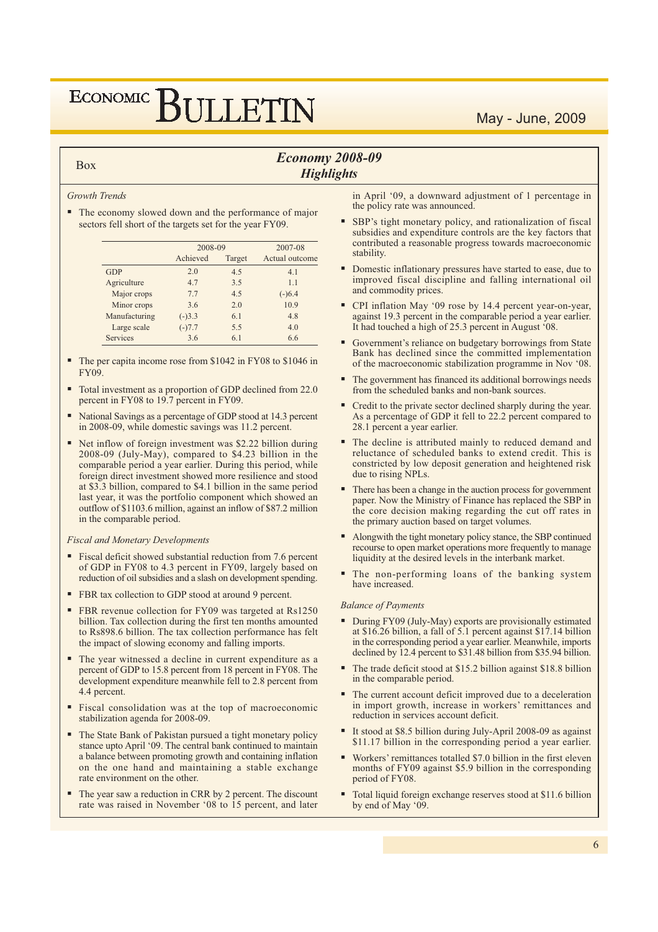## ECONOMIC BIJLETIN

#### May - June, 2009

#### **Economy 2008-09 Highlights**

#### **Growth Trends**

**Box** 

• The economy slowed down and the performance of major sectors fell short of the targets set for the year FY09.

|                 | 2008-09  |        | 2007-08        |  |  |
|-----------------|----------|--------|----------------|--|--|
|                 | Achieved | Target | Actual outcome |  |  |
| GDP             | 2.0      | 4.5    | 4.1            |  |  |
| Agriculture     | 4.7      | 3.5    | 1.1            |  |  |
| Major crops     | 7.7      | 45     | $(-)6.4$       |  |  |
| Minor crops     | 3.6      | 2.0    | 10.9           |  |  |
| Manufacturing   | $(-)3.3$ | 6.1    | 4.8            |  |  |
| Large scale     | $(-)7.7$ | 5.5    | 4.0            |  |  |
| <b>Services</b> | 3.6      | 6.1    | 66             |  |  |

- The per capita income rose from \$1042 in FY08 to \$1046 in  $FY09$
- Total investment as a proportion of GDP declined from 22.0 percent in FY08 to 19.7 percent in FY09.
- National Savings as a percentage of GDP stood at 14.3 percent in 2008-09, while domestic savings was 11.2 percent.
- Net inflow of foreign investment was \$2.22 billion during 2008-09 (July-May), compared to \$4.23 billion in the comparable period a year earlier. During this period, while foreign direct investment showed more resilience and stood at \$3.3 billion, compared to \$4.1 billion in the same period last year, it was the portfolio component which showed an outflow of \$1103.6 million, against an inflow of \$87.2 million in the comparable period.

#### **Fiscal and Monetary Developments**

- Fiscal deficit showed substantial reduction from 7.6 percent of GDP in FY08 to 4.3 percent in FY09, largely based on reduction of oil subsidies and a slash on development spending.
- FBR tax collection to GDP stood at around 9 percent.
- FBR revenue collection for FY09 was targeted at Rs1250 billion. Tax collection during the first ten months amounted to Rs898.6 billion. The tax collection performance has felt the impact of slowing economy and falling imports.
- The year witnessed a decline in current expenditure as a percent of GDP to 15.8 percent from 18 percent in FY08. The development expenditure meanwhile fell to 2.8 percent from 4.4 percent.
- Fiscal consolidation was at the top of macroeconomic stabilization agenda for 2008-09.
- The State Bank of Pakistan pursued a tight monetary policy stance upto April '09. The central bank continued to maintain a balance between promoting growth and containing inflation on the one hand and maintaining a stable exchange rate environment on the other.
- The year saw a reduction in CRR by 2 percent. The discount rate was raised in November '08 to 15 percent, and later

in April '09, a downward adjustment of 1 percentage in the policy rate was announced.

- SBP's tight monetary policy, and rationalization of fiscal subsidies and expenditure controls are the key factors that contributed a reasonable progress towards macroeconomic stability.
- Domestic inflationary pressures have started to ease, due to improved fiscal discipline and falling international oil and commodity prices.
- CPI inflation May '09 rose by 14.4 percent year-on-year, against 19.3 percent in the comparable period a year earlier. It had touched a high of 25.3 percent in August '08.
- Government's reliance on budgetary borrowings from State Bank has declined since the committed implementation of the macroeconomic stabilization programme in Nov '08.
- The government has financed its additional borrowings needs from the scheduled banks and non-bank sources.
- Credit to the private sector declined sharply during the year. As a percentage of GDP it fell to 22.2 percent compared to 28.1 percent a year earlier.
- The decline is attributed mainly to reduced demand and reluctance of scheduled banks to extend credit. This is constricted by low deposit generation and heightened risk due to rising NPLs.
- There has been a change in the auction process for government paper. Now the Ministry of Finance has replaced the SBP in the core decision making regarding the cut off rates in the primary auction based on target volumes.
- Alongwith the tight monetary policy stance, the SBP continued recourse to open market operations more frequently to manage liquidity at the desired levels in the interbank market.
- " The non-performing loans of the banking system have increased.

#### **Balance of Payments**

- During FY09 (July-May) exports are provisionally estimated at \$16.26 billion, a fall of 5.1 percent against \$17.14 billion in the corresponding period a year earlier. Meanwhile, imports declined by 12.4 percent to \$31.48 billion from \$35.94 billion.
- The trade deficit stood at \$15.2 billion against \$18.8 billion in the comparable period.
- The current account deficit improved due to a deceleration in import growth, increase in workers' remittances and reduction in services account deficit.
- It stood at \$8.5 billion during July-April 2008-09 as against \$11.17 billion in the corresponding period a year earlier.
- Workers' remittances totalled \$7.0 billion in the first eleven months of FY09 against \$5.9 billion in the corresponding period of FY08.
- Total liquid foreign exchange reserves stood at \$11.6 billion by end of May '09.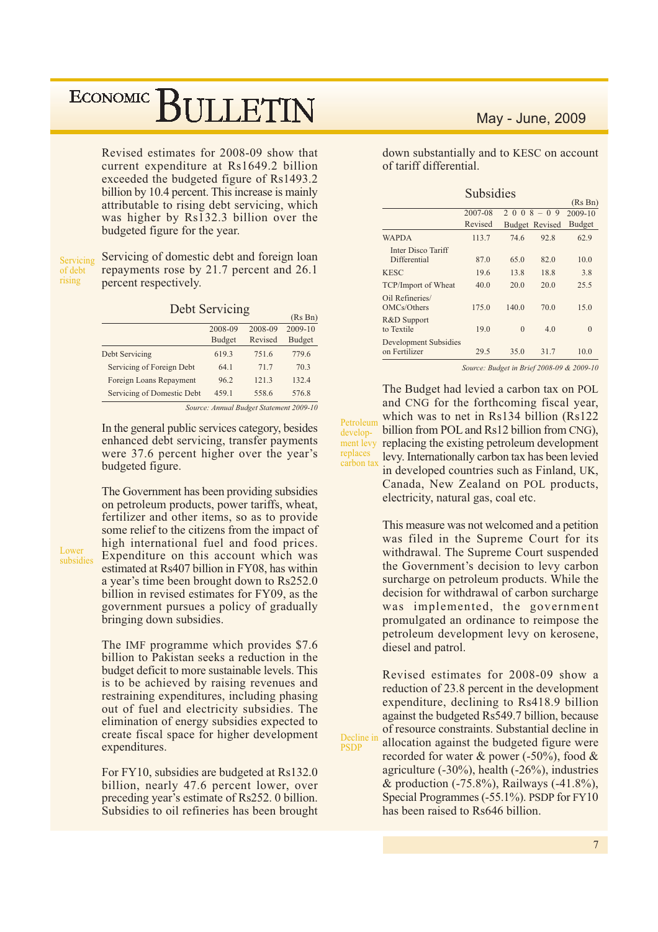Revised estimates for 2008-09 show that current expenditure at Rs1649.2 billion exceeded the budgeted figure of Rs1493.2 billion by 10.4 percent. This increase is mainly attributable to rising debt servicing, which was higher by Rs132.3 billion over the budgeted figure for the year.

Servicing of debt rising

Servicing of domestic debt and foreign loan repayments rose by 21.7 percent and 26.1 percent respectively.

|  |  | Debt Servicing |  |
|--|--|----------------|--|

|                            |               |                                                                              | $110 \text{ H}$ |
|----------------------------|---------------|------------------------------------------------------------------------------|-----------------|
|                            | 2008-09       | 2008-09                                                                      | $2009 - 10$     |
|                            | <b>Budget</b> | Revised                                                                      | <b>Budget</b>   |
| Debt Servicing             | 619.3         | 751.6                                                                        | 779.6           |
| Servicing of Foreign Debt  | 64.1          | 71.7                                                                         | 70.3            |
| Foreign Loans Repayment    | 96.2          | 121.3                                                                        | 132.4           |
| Servicing of Domestic Debt | 459.1         | 558.6                                                                        | 576.8           |
|                            |               | $C_1, \ldots, C_n, A_1, \ldots, I_n, I_n, I_n, I_n, I_n, I_n, I_n, I_n, I_n$ |                 |

 $(D_0, D_n)$ 

In the general public services category, besides enhanced debt servicing, transfer payments were 37.6 percent higher over the year's budgeted figure.

The Government has been providing subsidies on petroleum products, power tariffs, wheat, fertilizer and other items, so as to provide some relief to the citizens from the impact of high international fuel and food prices. Expenditure on this account which was estimated at Rs407 billion in FY08, has within a year's time been brought down to Rs252.0 billion in revised estimates for FY09, as the government pursues a policy of gradually bringing down subsidies.

The IMF programme which provides \$7.6 billion to Pakistan seeks a reduction in the budget deficit to more sustainable levels. This is to be achieved by raising revenues and restraining expenditures, including phasing out of fuel and electricity subsidies. The elimination of energy subsidies expected to create fiscal space for higher development expenditures.

For FY10, subsidies are budgeted at Rs132.0 billion, nearly 47.6 percent lower, over preceding year's estimate of Rs252. 0 billion. Subsidies to oil refineries has been brought

#### May - June, 2009

down substantially and to KESC on account of tariff differential.

|                                        | <b>Subsidies</b> |             |                       |               |
|----------------------------------------|------------------|-------------|-----------------------|---------------|
|                                        |                  |             |                       | (Rs Bn)       |
|                                        | 2007-08          | $2008 - 09$ | 2009-10               |               |
|                                        | Revised          |             | <b>Budget Revised</b> | <b>Budget</b> |
| <b>WAPDA</b>                           | 113.7            | 74.6        | 92.8                  | 62.9          |
| Inter Disco Tariff<br>Differential     | 87.0             | 65.0        | 82.0                  | 10.0          |
| <b>KESC</b>                            | 19.6             | 13.8        | 188                   | 3.8           |
| TCP/Import of Wheat                    | 40.0             | 20.0        | 20.0                  | 25.5          |
| Oil Refineries/<br>OMCs/Others         | 175.0            | 1400        | 70.0                  | 15.0          |
| R&D Support<br>to Textile              | 19.0             | $\Omega$    | 4.0                   | $\Omega$      |
| Development Subsidies<br>on Fertilizer | 29.5             | 35.0        | 31.7                  | 10.0          |

Source: Budget in Brief 2008-09 & 2009-10

The Budget had levied a carbon tax on POL and CNG for the forthcoming fiscal year, which was to net in Rs134 billion (Rs122) Petroleum billion from POL and Rs12 billion from CNG), development levy replacing the existing petroleum development replaces levy. Internationally carbon tax has been levied carbon tax in developed countries such as Finland, UK, Canada, New Zealand on POL products, electricity, natural gas, coal etc.

> This measure was not welcomed and a petition was filed in the Supreme Court for its withdrawal. The Supreme Court suspended the Government's decision to levy carbon surcharge on petroleum products. While the decision for withdrawal of carbon surcharge was implemented, the government promulgated an ordinance to reimpose the petroleum development levy on kerosene, diesel and patrol.

Revised estimates for 2008-09 show a reduction of 23.8 percent in the development expenditure, declining to Rs418.9 billion against the budgeted Rs549.7 billion, because of resource constraints. Substantial decline in allocation against the budgeted figure were recorded for water  $\&$  power (-50%), food  $\&$ agriculture  $(-30\%)$ , health  $(-26\%)$ , industries & production (-75.8%), Railways (-41.8%), Special Programmes (-55.1%). PSDP for FY10 has been raised to Rs646 billion.

Decline in

**PSDP** 

Lower

subsidies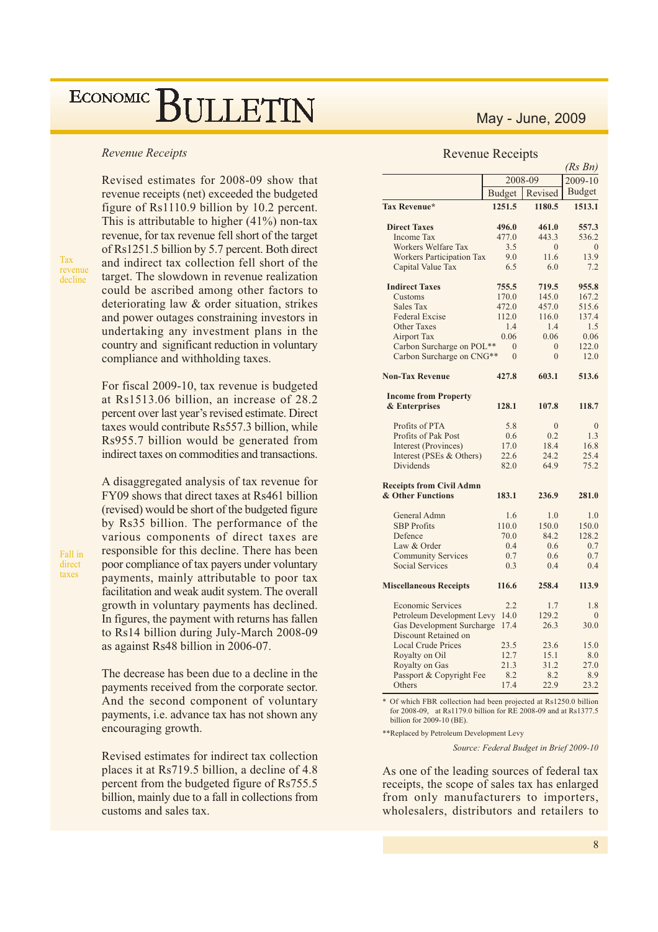#### **Revenue Receipts**

Tax revenue decline

Fall in

direct taxes

Revised estimates for 2008-09 show that revenue receipts (net) exceeded the budgeted figure of Rs1110.9 billion by 10.2 percent. This is attributable to higher  $(41\%)$  non-tax revenue, for tax revenue fell short of the target of Rs1251.5 billion by 5.7 percent. Both direct and indirect tax collection fell short of the target. The slowdown in revenue realization could be ascribed among other factors to deteriorating law & order situation, strikes and power outages constraining investors in undertaking any investment plans in the country and significant reduction in voluntary compliance and withholding taxes.

For fiscal 2009-10, tax revenue is budgeted at Rs1513.06 billion, an increase of 28.2 percent over last year's revised estimate. Direct taxes would contribute Rs557.3 billion, while Rs955.7 billion would be generated from indirect taxes on commodities and transactions.

A disaggregated analysis of tax revenue for FY09 shows that direct taxes at Rs461 billion (revised) would be short of the budgeted figure by Rs35 billion. The performance of the various components of direct taxes are responsible for this decline. There has been poor compliance of tax payers under voluntary payments, mainly attributable to poor tax facilitation and weak audit system. The overall growth in voluntary payments has declined. In figures, the payment with returns has fallen to Rs14 billion during July-March 2008-09 as against Rs48 billion in 2006-07.

The decrease has been due to a decline in the payments received from the corporate sector. And the second component of voluntary payments, *i.e.* advance tax has not shown any encouraging growth.

Revised estimates for indirect tax collection places it at Rs719.5 billion, a decline of 4.8 percent from the budgeted figure of Rs755.5 billion, mainly due to a fall in collections from customs and sales tax.

#### May - June, 2009

#### **Revenue Receipts**

|                                  | (Rs Bn)        |              |               |  |  |
|----------------------------------|----------------|--------------|---------------|--|--|
|                                  |                | 2008-09      | 2009-10       |  |  |
|                                  | <b>Budget</b>  | Revised      | <b>Budget</b> |  |  |
| Tax Revenue*                     | 1251.5         | 1180.5       | 1513.1        |  |  |
| <b>Direct Taxes</b>              | 496.0          | 461.0        | 557.3         |  |  |
| <b>Income Tax</b>                | 477.0          | 443.3        | 536.2         |  |  |
| Workers Welfare Tax              | 3.5            | $\Omega$     | $\theta$      |  |  |
| <b>Workers Participation Tax</b> | 9.0            | 11.6         | 13.9          |  |  |
| Capital Value Tax                | 6.5            | 6.0          | 7.2           |  |  |
| <b>Indirect Taxes</b>            | 755.5          | 719.5        | 955.8         |  |  |
| Customs                          | 170.0          | 145.0        | 167.2         |  |  |
| Sales Tax                        | 472.0          | 457.0        | 515.6         |  |  |
| <b>Federal Excise</b>            | 112.0          | 116.0        | 137.4         |  |  |
| <b>Other Taxes</b>               | 1.4            | 1.4          | 1.5           |  |  |
| <b>Airport Tax</b>               | 0.06           | 0.06         | 0.06          |  |  |
| Carbon Surcharge on POL**        | $\theta$       | $\Omega$     | 122.0         |  |  |
| Carbon Surcharge on CNG**        | $\overline{0}$ | $\mathbf{0}$ | 12.0          |  |  |
| <b>Non-Tax Revenue</b>           | 427.8          | 603.1        | 513.6         |  |  |
| <b>Income from Property</b>      |                |              |               |  |  |
| & Enterprises                    | 128.1          | 107.8        | 118.7         |  |  |
| Profits of PTA                   | 5.8            | $\mathbf{0}$ | $\theta$      |  |  |
| Profits of Pak Post              | 0.6            | 0.2          | 1.3           |  |  |
| Interest (Provinces)             | 17.0           | 18.4         | 16.8          |  |  |
| Interest (PSEs & Others)         | 22.6           | 24.2         | 25.4          |  |  |
| <b>Dividends</b>                 | 82.0           | 64.9         | 75.2          |  |  |
| <b>Receipts from Civil Admn</b>  |                |              |               |  |  |
| & Other Functions                | 183.1          | 236.9        | 281.0         |  |  |
| General Admn                     | 1.6            | 1.0          | 1.0           |  |  |
| <b>SBP</b> Profits               | 110.0          | 150.0        | 150.0         |  |  |
| Defence                          | 70.0           | 84.2         | 128.2         |  |  |
| Law & Order                      | 0.4            | 0.6          | 0.7           |  |  |
| <b>Community Services</b>        | 0.7            | 0.6          | 0.7           |  |  |
| <b>Social Services</b>           | 0.3            | 0.4          | 0.4           |  |  |
| <b>Miscellaneous Receipts</b>    | 116.6          | 258.4        | 113.9         |  |  |
| <b>Economic Services</b>         | 2.2            | 1.7          | 1.8           |  |  |
| Petroleum Development Levy       | 14.0           | 129.2        | $\theta$      |  |  |
| <b>Gas Development Surcharge</b> | 17.4           | 26.3         | 30.0          |  |  |
| Discount Retained on             |                |              |               |  |  |
| <b>Local Crude Prices</b>        | 23.5           | 23.6         | 15.0          |  |  |
| Royalty on Oil                   | 12.7           | 15.1         | 8.0           |  |  |
| Royalty on Gas                   | 21.3           | 31.2         | 27.0          |  |  |
| Passport & Copyright Fee         | 8.2            | 8.2<br>22.9  | 8.9           |  |  |
| Others                           | 17.4           |              | 23.2          |  |  |

\* Of which FBR collection had been projected at Rs1250.0 billion for 2008-09, at Rs1179.0 billion for RE 2008-09 and at Rs1377.5 billion for 2009-10 (BE).

\*\*Replaced by Petroleum Development Levy

Source: Federal Budget in Brief 2009-10

As one of the leading sources of federal tax receipts, the scope of sales tax has enlarged from only manufacturers to importers, wholesalers, distributors and retailers to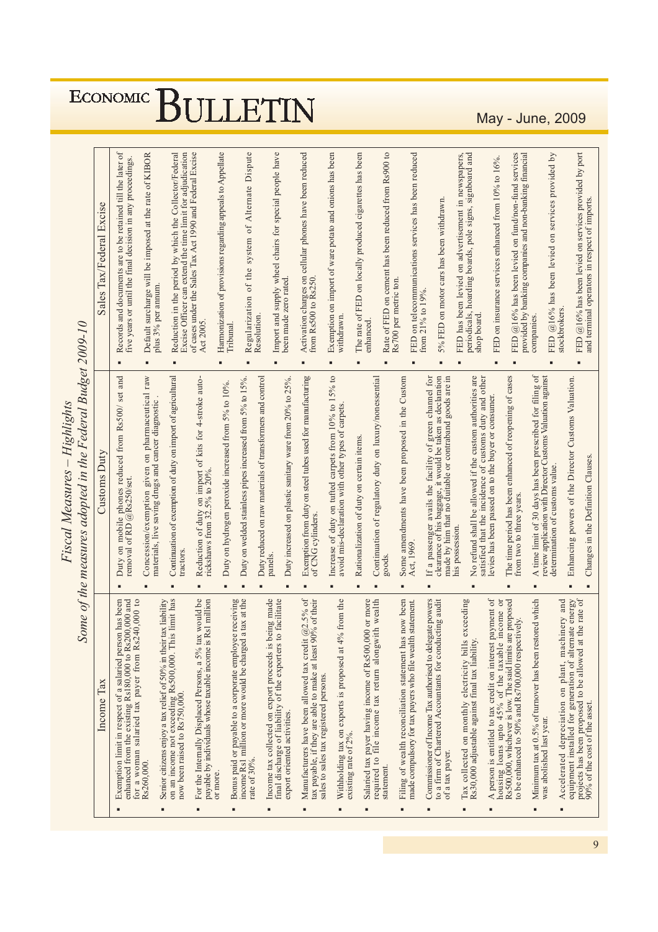| Excise<br>Sales Tax/Federal |
|-----------------------------|
|                             |

|                                                                                                                                                                                        | Some of the measures adopted in the Federal Budget 2009-10<br>Highlights<br><b>Fiscal Measures</b>                    |                                                                                                                              |
|----------------------------------------------------------------------------------------------------------------------------------------------------------------------------------------|-----------------------------------------------------------------------------------------------------------------------|------------------------------------------------------------------------------------------------------------------------------|
| Income Tax                                                                                                                                                                             | Customs Duty                                                                                                          | Sales Tax/Federal Excise                                                                                                     |
| Exemption limit in respect of a salaried person has been<br>enhanced from the existing Rs180,000 to Rs200,000 and<br>for a woman salaried tax payer from Rs240,000 to                  | and<br>set<br>Duty on mobile phones reduced from Rs500/<br>removal of RD @Rs250/set.<br>п                             | Records and documents are to be retained till the later of<br>five years or until the final decision in any proceedings.     |
| tax liability<br>Rs260,000.                                                                                                                                                            | Concession/exemption given on pharmaceutical raw<br>materials, live saving drugs and cancer diagnostic.               | Default surcharge will be imposed at the rate of KIBOR<br>plus 3% per annum.<br>٠                                            |
| on an income not exceeding Rs500,000. This limit has<br>Senior citizens enjoy a tax relief of 50% in their<br>now been raised to Rs750,000.                                            | Continuation of exemption of duty on import of agricultural<br>tractors<br>٠                                          | Excise Officer can extend the time limit for adjudication<br>Reduction in the period by which the Collector/Federal<br>٠     |
| would be<br>payable by individuals whose taxable income is Rs1 million<br>For the Internally Displaced Persons, a 5% tax                                                               | Reduction of duty on import of kits for 4-stroke autoricks<br>haws from $32.5\%$ to $20\%$ .<br>п                     | of cases under the Sales Tax Act 1990 and Federal Excise<br>Act 2005.                                                        |
| or more.                                                                                                                                                                               | Duty on hydrogen peroxide increased from 5% to 10%.<br>п                                                              | Harmonization of provisions regarding appeals to Appellate<br>Tribunal                                                       |
| Bonus paid or payable to a corporate employee receiving<br>income Rs1 million or more would be charged a tax at the<br>income Rs1 million or more would be charged<br>rate of $30\%$ . | Duty on welded stainless pipes increased from 5% to 15%.<br>п                                                         | Dispute<br>Alternate<br>of<br>system<br>the<br>of<br>Regularization<br>٠                                                     |
| Income tax collected on export proceeds is being made<br>final discharge of liability of the exporters to facilitate                                                                   | Duty reduced on raw materials of transformers and control<br>panels<br>п                                              | Import and supply wheel chairs for special people have<br>Resolution.<br>٠                                                   |
| export oriented activities.                                                                                                                                                            | Duty increased on plastic sanitary ware from 20% to 25%<br>п                                                          | been made zero rated.                                                                                                        |
| $@2.5\%$ of<br>% of their<br>tax payable, if they are able to make at least 90<br>Manufacturers have been allowed tax credit<br>sales to sales tax registered persons.                 | Exemption from duty on steel tubes used for manufacturing<br>of CNG cylinders.<br>п                                   | Activation charges on cellular phones have been reduced<br>from Rs500 to Rs250.<br>٠                                         |
| Withholding tax on exports is proposed at 4% from the<br>existing rate of 2%.                                                                                                          | Increase of duty on tufted carpets from 10% to 15% to<br>avoid mis-declaration with other types of carpets.<br>п      | Exemption on import of ware potato and onions has been<br>withdrawn<br>$\blacksquare$                                        |
| Salaried tax payer having income of Rs500,000 or more<br>required to file income tax return alongwith wealth                                                                           | Rationalization of duty on certain items.<br>п                                                                        | The rate of FED on locally produced cigarettes has been<br>enhanced.<br>п                                                    |
| th wealth<br>statement.                                                                                                                                                                | Continuation of regulatory duty on luxury/nonessential<br>goods.<br>п                                                 | Rate of FED on cement has been reduced from Rs900 to<br>п                                                                    |
| now been<br>Filing of wealth reconciliation statement has                                                                                                                              | Some amendments have been proposed in the Custom<br>٠                                                                 | Rs700 per metric ton.                                                                                                        |
| Commissioner of Income Tax authorised to delegate powers<br>statement.<br>made compulsory for tax payers who file wealth                                                               | If a passenger avails the facility of green channel for<br>Act, 1969.                                                 | FED on telecommunications services has been reduced<br>from $21\%$ to $19\%$ .<br>٠                                          |
| to a firm of Chartered Accountants for conducting audit<br>of a tax payer.                                                                                                             | clearance of his baggage, it would be taken as declaration<br>made by him that no duitable or contraband goods are in | 5% FED on motor cars has been withdrawn.<br>٠                                                                                |
| exceeding<br>Tax collected on monthly electricity bills                                                                                                                                | No refund shall be allowed if the custom authorities are<br>his possession.<br>п                                      | FED has been levied on advertisement in newspapers,<br>periodicals, hoarding boards, pole signs, signboard and<br>п          |
| Rs30,000 adjustable against final tax liability.                                                                                                                                       | satisfied that the incidence of customs duty and other                                                                | shop board.                                                                                                                  |
| A person is entitled to tax credit on interest payment of<br>ncome or<br>Rs500,000, whichever is low. The said limits are proposed<br>housing loans upto 45% of the taxable is         | The time period has been enhanced of reopening of cases<br>levies has been passed on to the buyer or consumer.<br>п   | FED on insurance services enhanced from 10% to 16%.<br>п                                                                     |
| Minimum tax at 0.5% of turnover has been restored which<br>to be enhanced to 50% and Rs700,000 respectively.                                                                           | A time limit of 30 days has been prescribed for filing of<br>from two to three years.<br>٠                            | FED $@16%$ has been levied on fund/non-fund services<br>provided by banking companies and non-banking financial<br>companies |
| was abolished last year.                                                                                                                                                               | review application with Director Customs Valuation against<br>determination of customs value.                         | services provided by<br>$\circ$ n<br>FED $@16\%$ has been levied<br>stockbrokers<br>п                                        |
| equipment installed for generation of alternate energy<br>Accelerated depreciation on plant, machinery and                                                                             | Enhancing powers of the Director Customs Valuation.<br>п                                                              |                                                                                                                              |
| the rate of<br>projects has been proposed to be allowed at<br>90% of the cost of the asset.                                                                                            | Changes in the Definition Clauses.                                                                                    | FED @16% has been levied on services provided by port<br>and terminal operators in respect of imports.                       |

May - June, 2009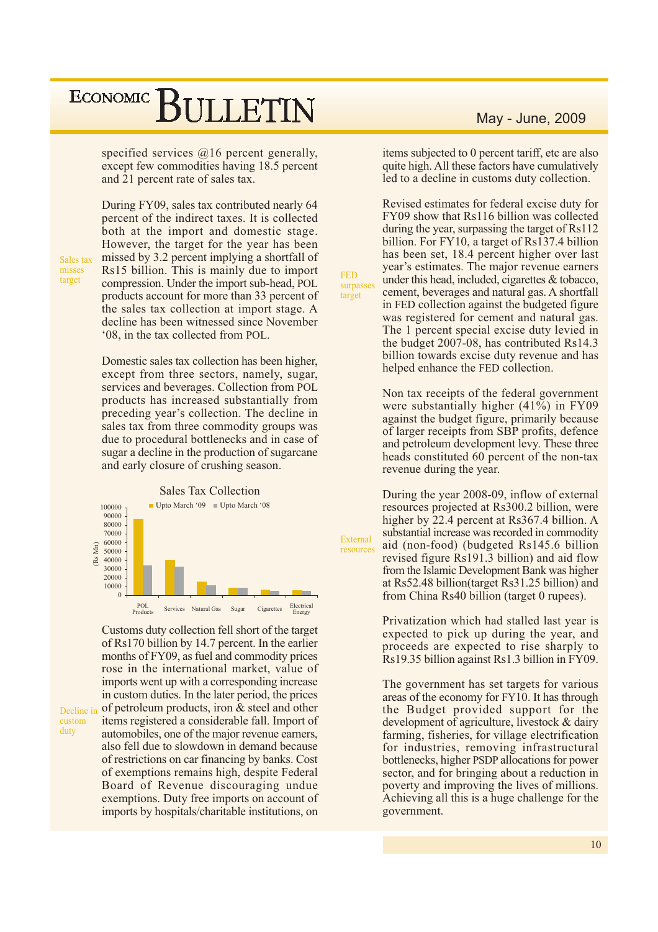specified services  $(a)$ 16 percent generally, except few commodities having 18.5 percent and 21 percent rate of sales tax.

During FY09, sales tax contributed nearly 64 percent of the indirect taxes. It is collected both at the import and domestic stage. However, the target for the year has been missed by 3.2 percent implying a shortfall of Rs15 billion. This is mainly due to import compression. Under the import sub-head, POL products account for more than 33 percent of the sales tax collection at import stage. A decline has been witnessed since November '08, in the tax collected from POL.

**FED** 

target

surpasses

External

resources

Domestic sales tax collection has been higher, except from three sectors, namely, sugar, services and beverages. Collection from POL products has increased substantially from preceding year's collection. The decline in sales tax from three commodity groups was due to procedural bottlenecks and in case of sugar a decline in the production of sugarcane and early closure of crushing season.



Customs duty collection fell short of the target of Rs170 billion by 14.7 percent. In the earlier months of FY09, as fuel and commodity prices rose in the international market, value of imports went up with a corresponding increase in custom duties. In the later period, the prices of petroleum products, iron & steel and other items registered a considerable fall. Import of automobiles, one of the major revenue earners. also fell due to slowdown in demand because of restrictions on car financing by banks. Cost of exemptions remains high, despite Federal Board of Revenue discouraging undue exemptions. Duty free imports on account of imports by hospitals/charitable institutions, on

#### May - June, 2009

items subjected to 0 percent tariff, etc are also quite high. All these factors have cumulatively led to a decline in customs duty collection.

Revised estimates for federal excise duty for FY09 show that Rs116 billion was collected during the year, surpassing the target of Rs112 billion. For FY10, a target of Rs137.4 billion has been set, 18.4 percent higher over last year's estimates. The major revenue earners under this head, included, cigarettes & tobacco, cement, beverages and natural gas. A shortfall in FED collection against the budgeted figure was registered for cement and natural gas. The 1 percent special excise duty levied in the budget 2007-08, has contributed Rs14.3 billion towards excise duty revenue and has helped enhance the FED collection.

Non tax receipts of the federal government were substantially higher  $(41\%)$  in FY09 against the budget figure, primarily because of larger receipts from SBP profits, defence and petroleum development levy. These three heads constituted 60 percent of the non-tax revenue during the year.

During the year 2008-09, inflow of external resources projected at Rs300.2 billion, were higher by 22.4 percent at Rs367.4 billion. A substantial increase was recorded in commodity aid (non-food) (budgeted Rs145.6 billion revised figure Rs191.3 billion) and aid flow from the Islamic Development Bank was higher at Rs52.48 billion (target Rs31.25 billion) and from China Rs40 billion (target 0 rupees).

Privatization which had stalled last year is expected to pick up during the year, and proceeds are expected to rise sharply to Rs19.35 billion against Rs1.3 billion in FY09.

The government has set targets for various areas of the economy for FY10. It has through the Budget provided support for the development of agriculture, livestock & dairy farming, fisheries, for village electrification for industries, removing infrastructural bottlenecks, higher PSDP allocations for power sector, and for bringing about a reduction in poverty and improving the lives of millions. Achieving all this is a huge challenge for the government.

Sales tax misses target

Decline in custom

duty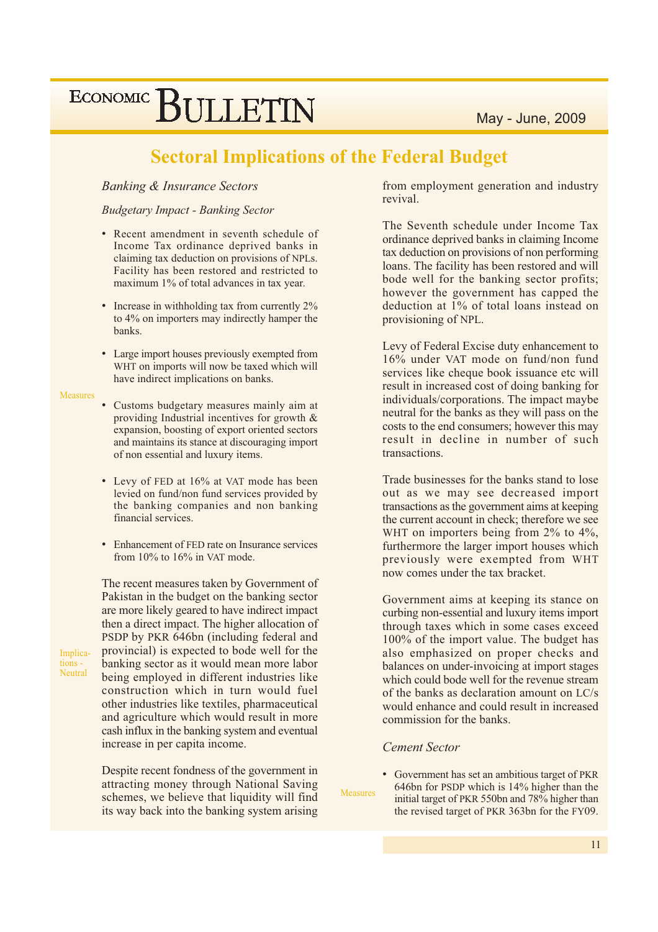May - June, 2009

## ECONOMIC BULLETIN

### **Sectoral Implications of the Federal Budget**

#### **Banking & Insurance Sectors**

#### **Budgetary Impact - Banking Sector**

- Recent amendment in seventh schedule of Income Tax ordinance deprived banks in claiming tax deduction on provisions of NPLs. Facility has been restored and restricted to maximum 1% of total advances in tax year.
- Increase in withholding tax from currently 2% to 4% on importers may indirectly hamper the banks.
- Large import houses previously exempted from WHT on imports will now be taxed which will have indirect implications on banks.

#### **Measures**

- Customs budgetary measures mainly aim at providing Industrial incentives for growth & expansion, boosting of export oriented sectors and maintains its stance at discouraging import of non essential and luxury items.
- Levy of FED at 16% at VAT mode has been levied on fund/non fund services provided by the banking companies and non banking financial services.
- Enhancement of FED rate on Insurance services from 10% to 16% in VAT mode.

The recent measures taken by Government of Pakistan in the budget on the banking sector are more likely geared to have indirect impact then a direct impact. The higher allocation of PSDP by PKR 646bn (including federal and provincial) is expected to bode well for the banking sector as it would mean more labor being employed in different industries like construction which in turn would fuel other industries like textiles, pharmaceutical and agriculture which would result in more cash influx in the banking system and eventual increase in per capita income.

Despite recent fondness of the government in attracting money through National Saving schemes, we believe that liquidity will find its way back into the banking system arising

from employment generation and industry revival.

The Seventh schedule under Income Tax ordinance deprived banks in claiming Income tax deduction on provisions of non performing loans. The facility has been restored and will bode well for the banking sector profits; however the government has capped the deduction at 1% of total loans instead on provisioning of NPL.

Levy of Federal Excise duty enhancement to 16% under VAT mode on fund/non fund services like cheque book issuance etc will result in increased cost of doing banking for individuals/corporations. The impact maybe neutral for the banks as they will pass on the costs to the end consumers; however this may result in decline in number of such transactions.

Trade businesses for the banks stand to lose out as we may see decreased import transactions as the government aims at keeping the current account in check; therefore we see WHT on importers being from 2% to 4%, furthermore the larger import houses which previously were exempted from WHT now comes under the tax bracket.

Government aims at keeping its stance on curbing non-essential and luxury items import through taxes which in some cases exceed 100% of the import value. The budget has also emphasized on proper checks and balances on under-invoicing at import stages which could bode well for the revenue stream of the banks as declaration amount on LC/s would enhance and could result in increased commission for the banks.

#### **Cement Sector**

• Government has set an ambitious target of PKR 646bn for PSDP which is 14% higher than the Measures initial target of PKR 550bn and 78% higher than the revised target of PKR 363bn for the FY09.

Implications -Neutral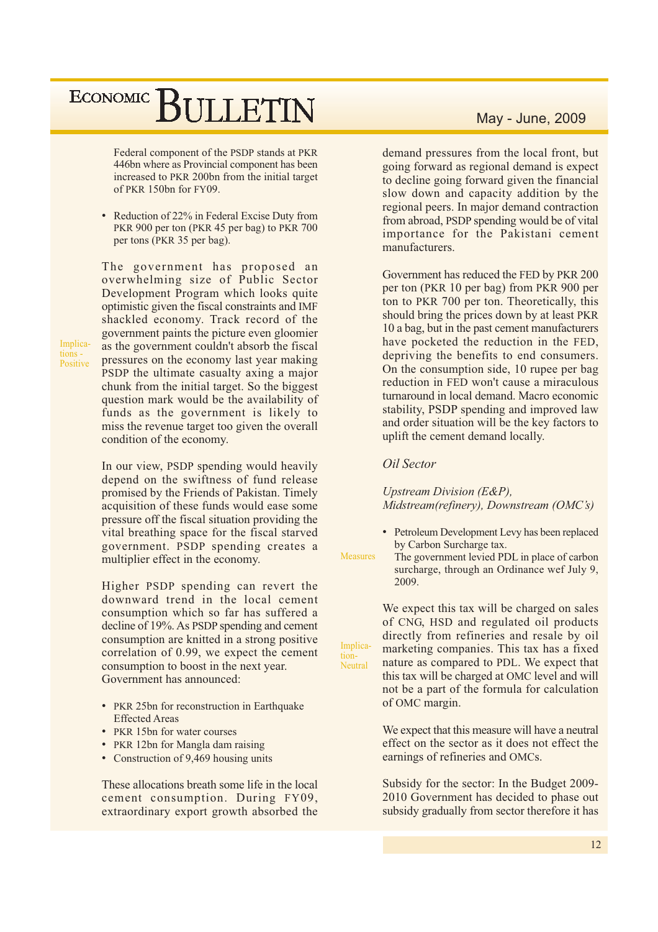Federal component of the PSDP stands at PKR 446bn where as Provincial component has been increased to PKR 200bn from the initial target of PKR 150bn for FY09.

• Reduction of 22% in Federal Excise Duty from PKR 900 per ton (PKR 45 per bag) to PKR 700 per tons (PKR 35 per bag).

The government has proposed an overwhelming size of Public Sector Development Program which looks quite optimistic given the fiscal constraints and IMF shackled economy. Track record of the government paints the picture even gloomier as the government couldn't absorb the fiscal pressures on the economy last year making PSDP the ultimate casualty axing a major chunk from the initial target. So the biggest question mark would be the availability of funds as the government is likely to miss the revenue target too given the overall condition of the economy.

In our view, PSDP spending would heavily depend on the swiftness of fund release promised by the Friends of Pakistan. Timely acquisition of these funds would ease some pressure off the fiscal situation providing the vital breathing space for the fiscal starved government. PSDP spending creates a multiplier effect in the economy.

Higher PSDP spending can revert the downward trend in the local cement consumption which so far has suffered a decline of 19%. As PSDP spending and cement consumption are knitted in a strong positive correlation of 0.99, we expect the cement consumption to boost in the next year. Government has announced:

- PKR 25bn for reconstruction in Earthquake **Effected Areas**
- PKR 15bn for water courses
- PKR 12bn for Mangla dam raising
- Construction of 9,469 housing units

These allocations breath some life in the local cement consumption. During FY09. extraordinary export growth absorbed the demand pressures from the local front, but going forward as regional demand is expect to decline going forward given the financial slow down and capacity addition by the regional peers. In major demand contraction from abroad, PSDP spending would be of vital importance for the Pakistani cement manufacturers.

Government has reduced the FED by PKR 200 per ton (PKR 10 per bag) from PKR 900 per ton to PKR 700 per ton. Theoretically, this should bring the prices down by at least PKR 10 a bag, but in the past cement manufacturers have pocketed the reduction in the FED, depriving the benefits to end consumers. On the consumption side, 10 rupee per bag reduction in FED won't cause a miraculous turnaround in local demand. Macro economic stability, PSDP spending and improved law and order situation will be the key factors to uplift the cement demand locally.

Oil Sector

Implica-

Neutral

tion-

Upstream Division (E&P), Midstream(refinery), Downstream (OMC's)

- Petroleum Development Levy has been replaced by Carbon Surcharge tax.
- Measures The government levied PDL in place of carbon surcharge, through an Ordinance wef July 9, 2009

We expect this tax will be charged on sales of CNG, HSD and regulated oil products directly from refineries and resale by oil marketing companies. This tax has a fixed nature as compared to PDL. We expect that this tax will be charged at OMC level and will not be a part of the formula for calculation of OMC margin.

We expect that this measure will have a neutral effect on the sector as it does not effect the earnings of refineries and OMCs.

Subsidy for the sector: In the Budget 2009-2010 Government has decided to phase out subsidy gradually from sector therefore it has

Implications -Positive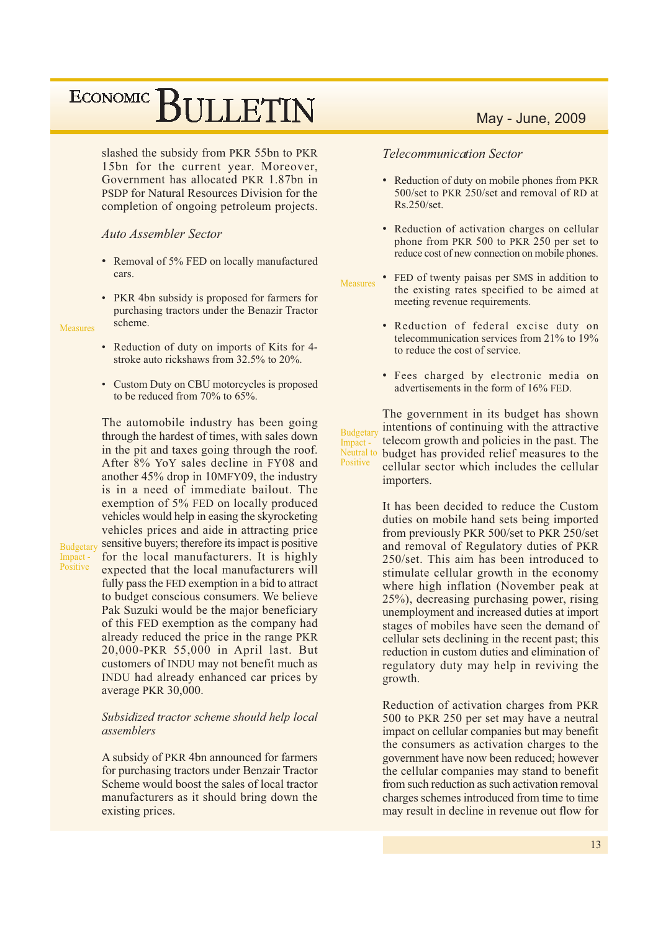slashed the subsidy from PKR 55bn to PKR 15bn for the current year. Moreover, Government has allocated PKR 1.87bn in PSDP for Natural Resources Division for the completion of ongoing petroleum projects.

#### **Auto Assembler Sector**

- Removal of 5% FED on locally manufactured cars.
- PKR 4bn subsidy is proposed for farmers for purchasing tractors under the Benazir Tractor scheme.

**Measures** 

Budgetary

Impact -

Positive

- Reduction of duty on imports of Kits for 4stroke auto rickshaws from 32.5% to 20%.
- Custom Duty on CBU motorcycles is proposed to be reduced from  $70\%$  to  $65\%$ .

The automobile industry has been going through the hardest of times, with sales down in the pit and taxes going through the roof. After 8% YoY sales decline in FY08 and another 45% drop in 10MFY09, the industry is in a need of immediate bailout. The exemption of 5% FED on locally produced vehicles would help in easing the skyrocketing vehicles prices and aide in attracting price sensitive buyers; therefore its impact is positive for the local manufacturers. It is highly expected that the local manufacturers will fully pass the FED exemption in a bid to attract to budget conscious consumers. We believe Pak Suzuki would be the major beneficiary of this FED exemption as the company had already reduced the price in the range PKR 20,000-PKR 55,000 in April last. But customers of INDU may not benefit much as INDU had already enhanced car prices by average PKR 30,000.

#### Subsidized tractor scheme should help local assemblers

A subsidy of PKR 4bn announced for farmers for purchasing tractors under Benzair Tractor Scheme would boost the sales of local tractor manufacturers as it should bring down the existing prices.

#### **Telecommunication Sector**

- Reduction of duty on mobile phones from PKR 500/set to PKR 250/set and removal of RD at  $Rs.250/set.$
- Reduction of activation charges on cellular phone from PKR 500 to PKR 250 per set to reduce cost of new connection on mobile phones.
- FED of twenty paisas per SMS in addition to Measures the existing rates specified to be aimed at meeting revenue requirements.
	- Reduction of federal excise duty on telecommunication services from 21% to 19% to reduce the cost of service.
	- Fees charged by electronic media on advertisements in the form of 16% FED.

The government in its budget has shown intentions of continuing with the attractive **Budgetary** telecom growth and policies in the past. The Impact -Neutral to budget has provided relief measures to the Positive cellular sector which includes the cellular importers.

> It has been decided to reduce the Custom duties on mobile hand sets being imported from previously PKR 500/set to PKR 250/set and removal of Regulatory duties of PKR 250/set. This aim has been introduced to stimulate cellular growth in the economy where high inflation (November peak at 25%), decreasing purchasing power, rising unemployment and increased duties at import stages of mobiles have seen the demand of cellular sets declining in the recent past; this reduction in custom duties and elimination of regulatory duty may help in reviving the growth.

> Reduction of activation charges from PKR 500 to PKR 250 per set may have a neutral impact on cellular companies but may benefit the consumers as activation charges to the government have now been reduced; however the cellular companies may stand to benefit from such reduction as such activation removal charges schemes introduced from time to time may result in decline in revenue out flow for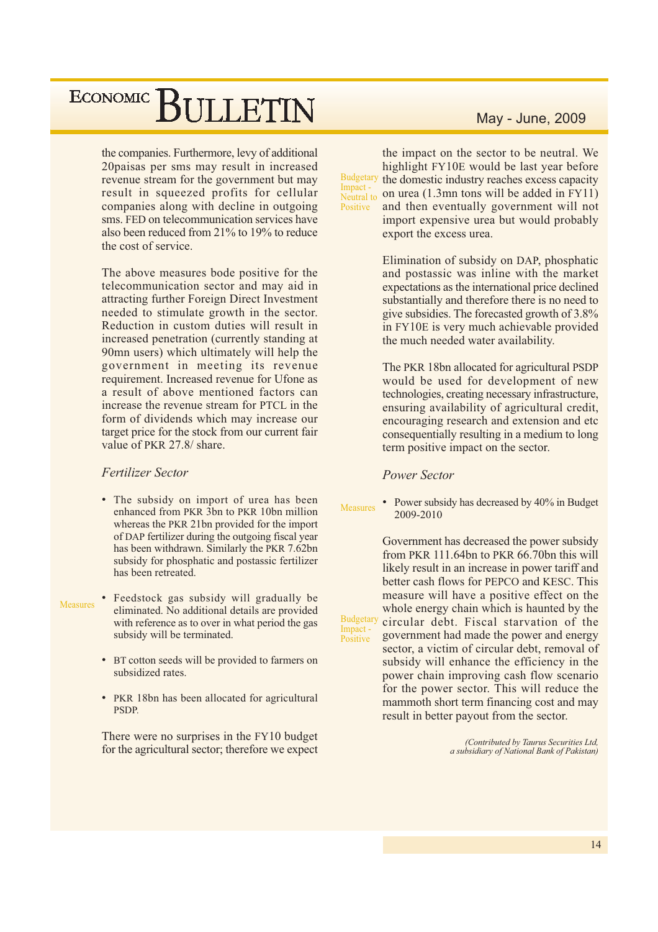the companies. Furthermore, levy of additional 20paisas per sms may result in increased revenue stream for the government but may result in squeezed profits for cellular companies along with decline in outgoing sms. FED on telecommunication services have also been reduced from 21% to 19% to reduce the cost of service.

The above measures bode positive for the telecommunication sector and may aid in attracting further Foreign Direct Investment needed to stimulate growth in the sector. Reduction in custom duties will result in increased penetration (currently standing at 90mn users) which ultimately will help the government in meeting its revenue requirement. Increased revenue for Ufone as a result of above mentioned factors can increase the revenue stream for PTCL in the form of dividends which may increase our target price for the stock from our current fair value of PKR 27.8/ share.

#### **Fertilizer Sector**

- The subsidy on import of urea has been enhanced from PKR 3bn to PKR 10bn million whereas the PKR 21bn provided for the import of DAP fertilizer during the outgoing fiscal year has been withdrawn. Similarly the PKR 7.62bn subsidy for phosphatic and postassic fertilizer has been retreated.
- Feedstock gas subsidy will gradually be **Measures** eliminated. No additional details are provided with reference as to over in what period the gas subsidy will be terminated.
	- BT cotton seeds will be provided to farmers on subsidized rates.
	- PKR 18bn has been allocated for agricultural PSDP.

There were no surprises in the FY10 budget for the agricultural sector; therefore we expect

#### May - June, 2009

the impact on the sector to be neutral. We highlight FY10E would be last year before Budgetary the domestic industry reaches excess capacity Impact on urea (1.3mn tons will be added in FY11) Neutral to and then eventually government will not Positive import expensive urea but would probably export the excess urea.

> Elimination of subsidy on DAP, phosphatic and postassic was inline with the market expectations as the international price declined substantially and therefore there is no need to give subsidies. The forecasted growth of 3.8% in FY10E is very much achievable provided the much needed water availability.

> The PKR 18bn allocated for agricultural PSDP would be used for development of new technologies, creating necessary infrastructure, ensuring availability of agricultural credit, encouraging research and extension and etc consequentially resulting in a medium to long term positive impact on the sector.

#### **Power Sector**

Impact -<br>Positive

• Power subsidy has decreased by 40% in Budget **Measures** 2009-2010

Government has decreased the power subsidy from PKR 111.64bn to PKR 66.70bn this will likely result in an increase in power tariff and better cash flows for PEPCO and KESC. This measure will have a positive effect on the whole energy chain which is haunted by the **Budgetary** circular debt. Fiscal starvation of the government had made the power and energy sector, a victim of circular debt, removal of subsidy will enhance the efficiency in the power chain improving cash flow scenario for the power sector. This will reduce the mammoth short term financing cost and may result in better payout from the sector.

> (Contributed by Taurus Securities Ltd, a subsidiary of National Bank of Pakistan)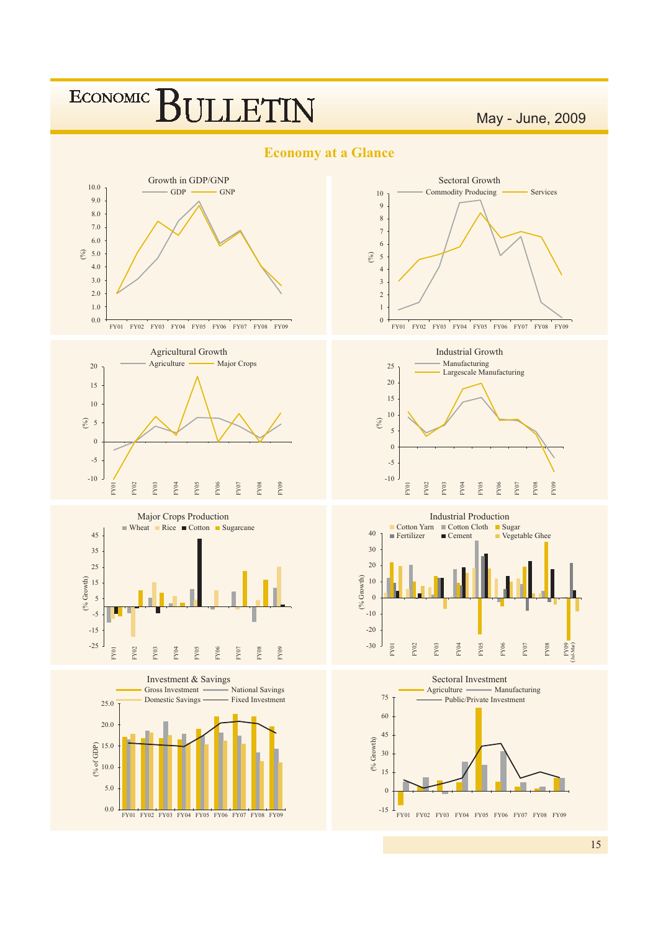

####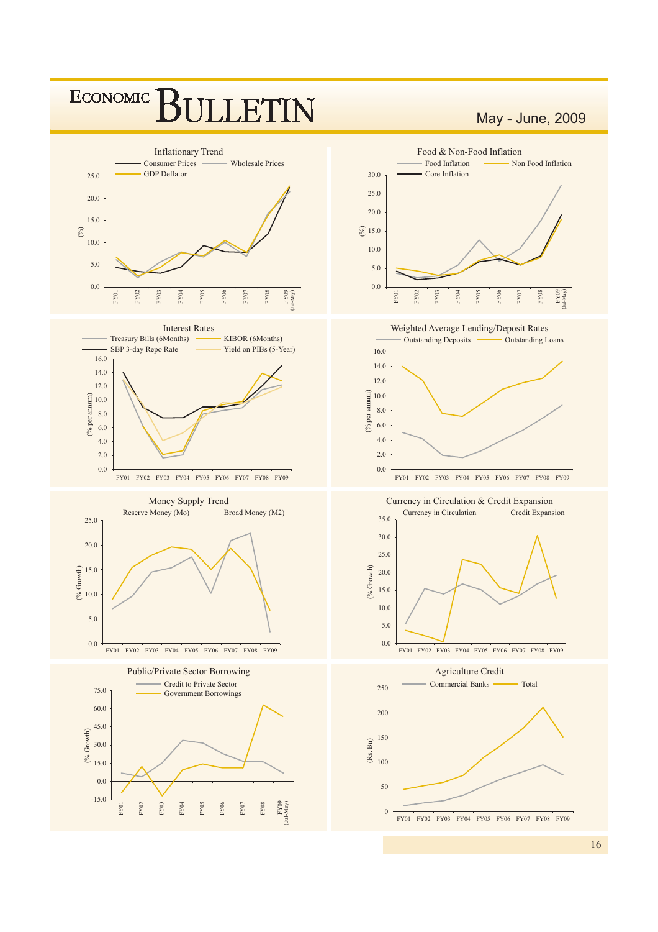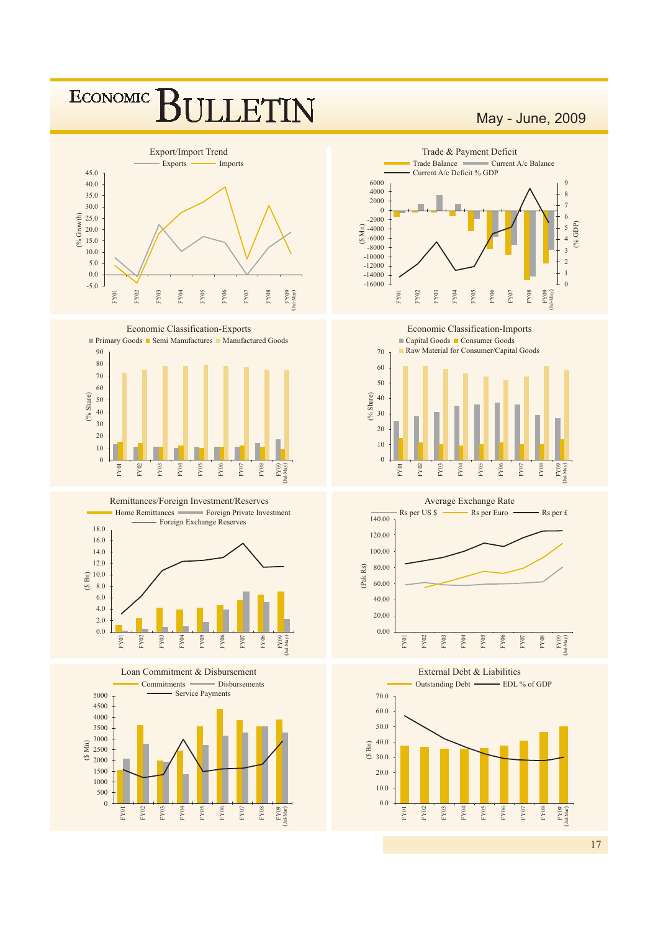#### **ECONOMIC** ET IN



Economic Classification-Exports







Loan Commitment & Disbursement Disbursements Commitments



May - June, 2009



Economic Classification-Imports





140.00

Rs per £



External Debt & Liabilities

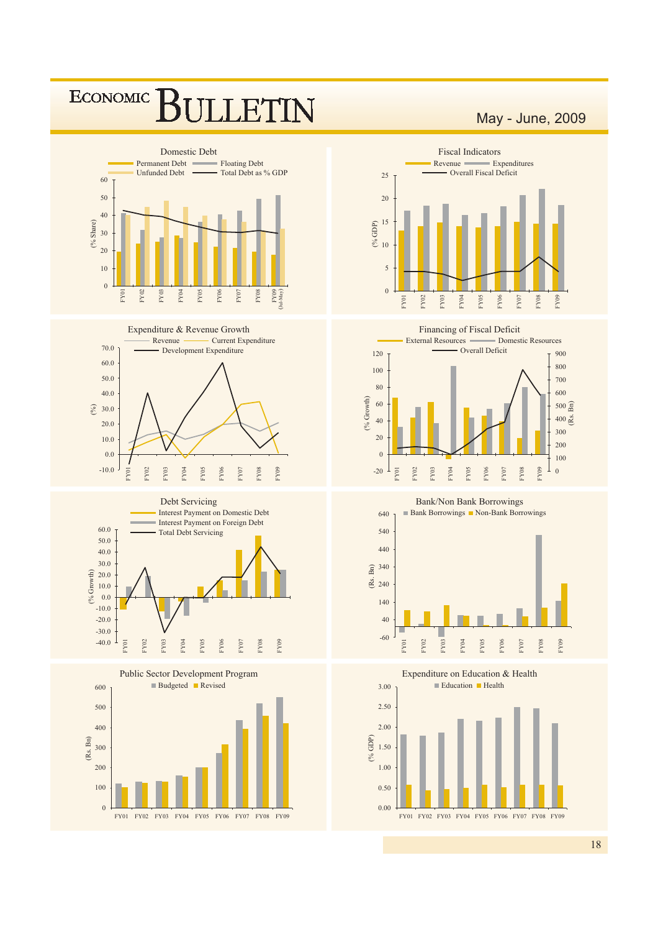#### **ECONOMIC**  $F1$ N









#### May - June, 2009



Financing of Fiscal Deficit



#### **Bank/Non Bank Borrowings**



Expenditure on Education & Health  $\blacksquare$  Education  $\blacksquare$  Health  $3.00$ 2.50  $2.00$  $( ^{0}\!\!/\!\mathrm{GDP})$ 1.50  $1.00$  $0.50$  $0.00$ FY01 FY02 FY03 FY04 FY05 FY06 FY07 FY08 FY09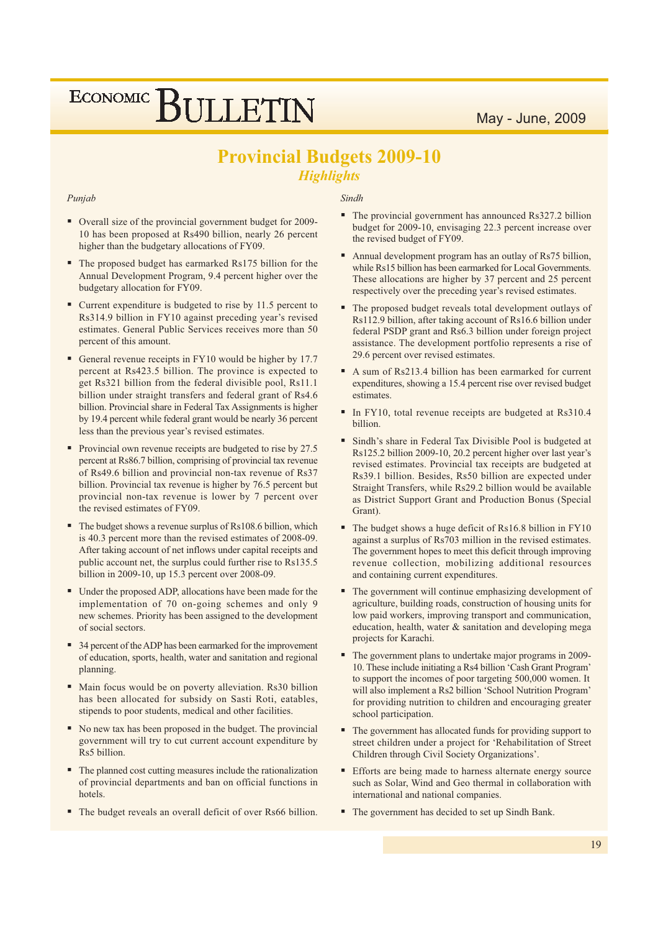### **Provincial Budgets 2009-10 Highlights**

#### Punjab

- Overall size of the provincial government budget for 2009-10 has been proposed at Rs490 billion, nearly 26 percent higher than the budgetary allocations of FY09.
- $\blacksquare$ The proposed budget has earmarked Rs175 billion for the Annual Development Program, 9.4 percent higher over the budgetary allocation for FY09.
- Current expenditure is budgeted to rise by 11.5 percent to Rs314.9 billion in FY10 against preceding year's revised estimates. General Public Services receives more than 50 percent of this amount.
- General revenue receipts in FY10 would be higher by 17.7 percent at Rs423.5 billion. The province is expected to get Rs321 billion from the federal divisible pool. Rs11.1 billion under straight transfers and federal grant of Rs4.6 billion. Provincial share in Federal Tax Assignments is higher by 19.4 percent while federal grant would be nearly 36 percent less than the previous year's revised estimates.
- Provincial own revenue receipts are budgeted to rise by 27.5 percent at Rs86.7 billion, comprising of provincial tax revenue of Rs49.6 billion and provincial non-tax revenue of Rs37 billion. Provincial tax revenue is higher by 76.5 percent but provincial non-tax revenue is lower by 7 percent over the revised estimates of FY09.
- The budget shows a revenue surplus of Rs108.6 billion, which is 40.3 percent more than the revised estimates of 2008-09. After taking account of net inflows under capital receipts and public account net, the surplus could further rise to Rs135.5 billion in 2009-10, up 15.3 percent over 2008-09.
- Under the proposed ADP, allocations have been made for the implementation of 70 on-going schemes and only 9 new schemes. Priority has been assigned to the development of social sectors.
- 34 percent of the ADP has been earmarked for the improvement of education, sports, health, water and sanitation and regional planning.
- Main focus would be on poverty alleviation. Rs30 billion has been allocated for subsidy on Sasti Roti, eatables, stipends to poor students, medical and other facilities.
- No new tax has been proposed in the budget. The provincial government will try to cut current account expenditure by Rs5 billion.
- The planned cost cutting measures include the rationalization of provincial departments and ban on official functions in hotels.
- The budget reveals an overall deficit of over Rs66 billion.

#### Sindh

- The provincial government has announced Rs327.2 billion budget for 2009-10, envisaging 22.3 percent increase over the revised budget of FY09.
- Annual development program has an outlay of Rs75 billion, while Rs15 billion has been earmarked for Local Governments. These allocations are higher by 37 percent and 25 percent respectively over the preceding year's revised estimates.
- The proposed budget reveals total development outlays of Rs112.9 billion, after taking account of Rs16.6 billion under federal PSDP grant and Rs6.3 billion under foreign project assistance. The development portfolio represents a rise of 29.6 percent over revised estimates.
- A sum of Rs213.4 billion has been earmarked for current expenditures, showing a 15.4 percent rise over revised budget estimates.
- In FY10, total revenue receipts are budgeted at Rs310.4 hillion
- Sindh's share in Federal Tax Divisible Pool is budgeted at Rs125.2 billion 2009-10, 20.2 percent higher over last year's revised estimates. Provincial tax receipts are budgeted at Rs39.1 billion. Besides, Rs50 billion are expected under Straight Transfers, while Rs29.2 billion would be available as District Support Grant and Production Bonus (Special Grant).
- The budget shows a huge deficit of Rs16.8 billion in FY10 against a surplus of Rs703 million in the revised estimates. The government hopes to meet this deficit through improving revenue collection, mobilizing additional resources and containing current expenditures.
- The government will continue emphasizing development of agriculture, building roads, construction of housing units for low paid workers, improving transport and communication, education, health, water & sanitation and developing mega projects for Karachi.
- The government plans to undertake major programs in 2009-10. These include initiating a Rs4 billion 'Cash Grant Program' to support the incomes of poor targeting 500,000 women. It will also implement a Rs2 billion 'School Nutrition Program' for providing nutrition to children and encouraging greater school participation.
- The government has allocated funds for providing support to street children under a project for 'Rehabilitation of Street Children through Civil Society Organizations'.
- Efforts are being made to harness alternate energy source such as Solar, Wind and Geo thermal in collaboration with international and national companies.
- The government has decided to set up Sindh Bank.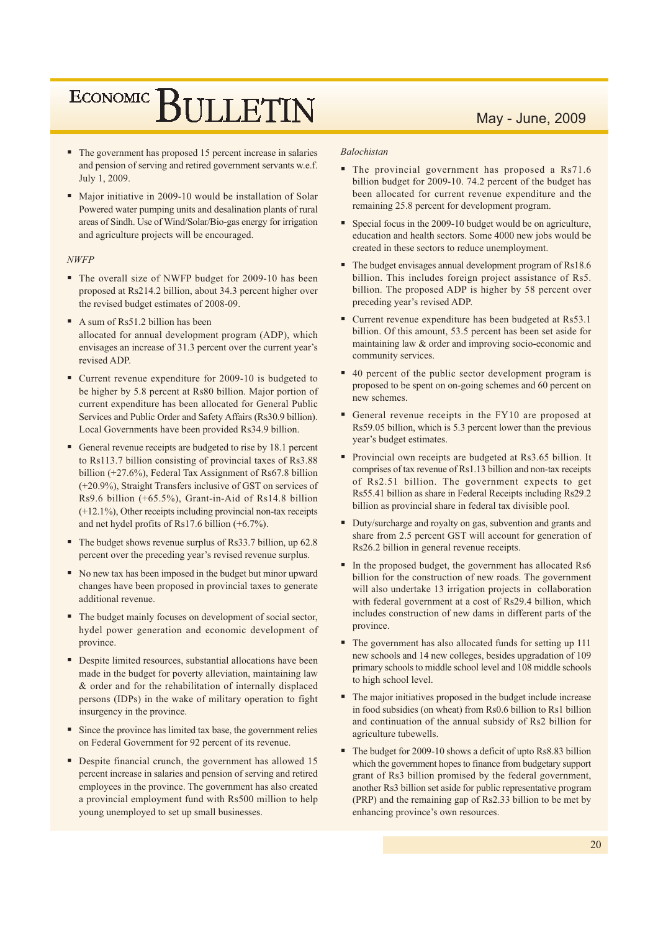#### May - June, 2009

- The government has proposed 15 percent increase in salaries and pension of serving and retired government servants w.e.f. July 1, 2009.
- Major initiative in 2009-10 would be installation of Solar Powered water pumping units and desalination plants of rural areas of Sindh. Use of Wind/Solar/Bio-gas energy for irrigation and agriculture projects will be encouraged.

#### $NWFP$

- The overall size of NWFP budget for 2009-10 has been proposed at Rs214.2 billion, about 34.3 percent higher over the revised budget estimates of 2008-09.
- A sum of Rs51.2 billion has been allocated for annual development program (ADP), which envisages an increase of 31.3 percent over the current year's revised ADP
- Current revenue expenditure for 2009-10 is budgeted to be higher by 5.8 percent at Rs80 billion. Major portion of current expenditure has been allocated for General Public Services and Public Order and Safety Affairs (Rs30.9 billion). Local Governments have been provided Rs34.9 billion.
- General revenue receipts are budgeted to rise by 18.1 percent to Rs113.7 billion consisting of provincial taxes of Rs3.88 billion (+27.6%), Federal Tax Assignment of Rs67.8 billion (+20.9%), Straight Transfers inclusive of GST on services of Rs9.6 billion (+65.5%), Grant-in-Aid of Rs14.8 billion  $(+12.1\%)$ , Other receipts including provincial non-tax receipts and net hydel profits of Rs17.6 billion  $(+6.7\%)$ .
- $\blacksquare$  The budget shows revenue surplus of Rs33.7 billion, up 62.8 percent over the preceding year's revised revenue surplus.
- No new tax has been imposed in the budget but minor upward changes have been proposed in provincial taxes to generate additional revenue.
- The budget mainly focuses on development of social sector, hydel power generation and economic development of province.
- Despite limited resources, substantial allocations have been made in the budget for poverty alleviation, maintaining law & order and for the rehabilitation of internally displaced persons (IDPs) in the wake of military operation to fight insurgency in the province.
- Since the province has limited tax base, the government relies on Federal Government for 92 percent of its revenue.
- Despite financial crunch, the government has allowed 15 percent increase in salaries and pension of serving and retired employees in the province. The government has also created a provincial employment fund with Rs500 million to help young unemployed to set up small businesses.

#### **Balochistan**

- The provincial government has proposed a Rs71.6 billion budget for 2009-10. 74.2 percent of the budget has been allocated for current revenue expenditure and the remaining 25.8 percent for development program.
- Special focus in the 2009-10 budget would be on agriculture, education and health sectors. Some 4000 new jobs would be created in these sectors to reduce unemployment.
- $\blacksquare$  The budget envisages annual development program of Rs18.6 billion. This includes foreign project assistance of Rs5. billion. The proposed ADP is higher by 58 percent over preceding year's revised ADP.
- Current revenue expenditure has been budgeted at Rs53.1 billion. Of this amount, 53.5 percent has been set aside for maintaining law & order and improving socio-economic and community services.
- 40 percent of the public sector development program is proposed to be spent on on-going schemes and 60 percent on new schemes.
- General revenue receipts in the FY10 are proposed at Rs59.05 billion, which is 5.3 percent lower than the previous year's budget estimates.
- Provincial own receipts are budgeted at Rs3.65 billion. It comprises of tax revenue of Rs1.13 billion and non-tax receipts of Rs2.51 billion. The government expects to get Rs55.41 billion as share in Federal Receipts including Rs29.2 billion as provincial share in federal tax divisible pool.
- Duty/surcharge and royalty on gas, subvention and grants and share from 2.5 percent GST will account for generation of Rs26.2 billion in general revenue receipts.
- In the proposed budget, the government has allocated Rs6 billion for the construction of new roads. The government will also undertake 13 irrigation projects in collaboration with federal government at a cost of Rs29.4 billion, which includes construction of new dams in different parts of the province.
- The government has also allocated funds for setting up 111 new schools and 14 new colleges, besides upgradation of 109 primary schools to middle school level and 108 middle schools to high school level.
- The major initiatives proposed in the budget include increase in food subsidies (on wheat) from Rs0.6 billion to Rs1 billion and continuation of the annual subsidy of Rs2 billion for agriculture tubewells.
- $\blacksquare$  The budget for 2009-10 shows a deficit of upto Rs8.83 billion which the government hopes to finance from budgetary support grant of Rs3 billion promised by the federal government, another Rs3 billion set aside for public representative program (PRP) and the remaining gap of Rs2.33 billion to be met by enhancing province's own resources.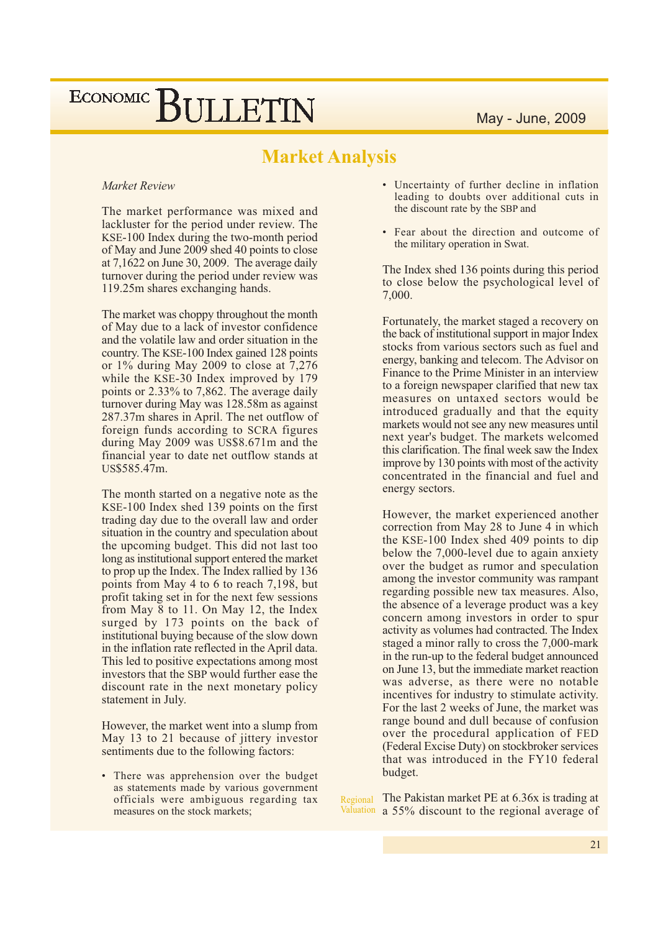### **Market Analysis**

#### Market Review

The market performance was mixed and lackluster for the period under review. The KSE-100 Index during the two-month period of May and June 2009 shed 40 points to close at  $7,1622$  on June 30, 2009. The average daily turnover during the period under review was 119.25m shares exchanging hands.

The market was choppy throughout the month of May due to a lack of investor confidence and the volatile law and order situation in the country. The KSE-100 Index gained 128 points or  $1\%$  during May 2009 to close at 7,276 while the KSE-30 Index improved by 179 points or 2.33% to 7,862. The average daily turnover during May was 128.58m as against 287.37m shares in April. The net outflow of foreign funds according to SCRA figures during May 2009 was US\$8.671m and the financial year to date net outflow stands at US\$585.47m.

The month started on a negative note as the KSE-100 Index shed 139 points on the first trading day due to the overall law and order situation in the country and speculation about the upcoming budget. This did not last too long as institutional support entered the market to prop up the Index. The Index rallied by 136 points from May 4 to 6 to reach 7,198, but profit taking set in for the next few sessions from May 8 to 11. On May 12, the Index surged by 173 points on the back of institutional buying because of the slow down in the inflation rate reflected in the April data. This led to positive expectations among most investors that the SBP would further ease the discount rate in the next monetary policy statement in July.

However, the market went into a slump from May 13 to 21 because of jittery investor sentiments due to the following factors:

• There was apprehension over the budget as statements made by various government officials were ambiguous regarding tax measures on the stock markets:

- Uncertainty of further decline in inflation leading to doubts over additional cuts in the discount rate by the SBP and
- Fear about the direction and outcome of the military operation in Swat.

The Index shed 136 points during this period to close below the psychological level of 7,000.

Fortunately, the market staged a recovery on the back of institutional support in major Index stocks from various sectors such as fuel and energy, banking and telecom. The Advisor on Finance to the Prime Minister in an interview to a foreign newspaper clarified that new tax measures on untaxed sectors would be introduced gradually and that the equity markets would not see any new measures until next year's budget. The markets welcomed this clarification. The final week saw the Index improve by 130 points with most of the activity concentrated in the financial and fuel and energy sectors.

However, the market experienced another correction from May 28 to June 4 in which the KSE-100 Index shed 409 points to dip below the 7,000-level due to again anxiety over the budget as rumor and speculation among the investor community was rampant regarding possible new tax measures. Also, the absence of a leverage product was a key concern among investors in order to spur activity as volumes had contracted. The Index staged a minor rally to cross the 7,000-mark in the run-up to the federal budget announced on June 13, but the immediate market reaction was adverse, as there were no notable incentives for industry to stimulate activity. For the last 2 weeks of June, the market was range bound and dull because of confusion over the procedural application of FED (Federal Excise Duty) on stockbroker services that was introduced in the FY10 federal budget.

The Pakistan market PE at 6.36x is trading at Regional Valuation a 55% discount to the regional average of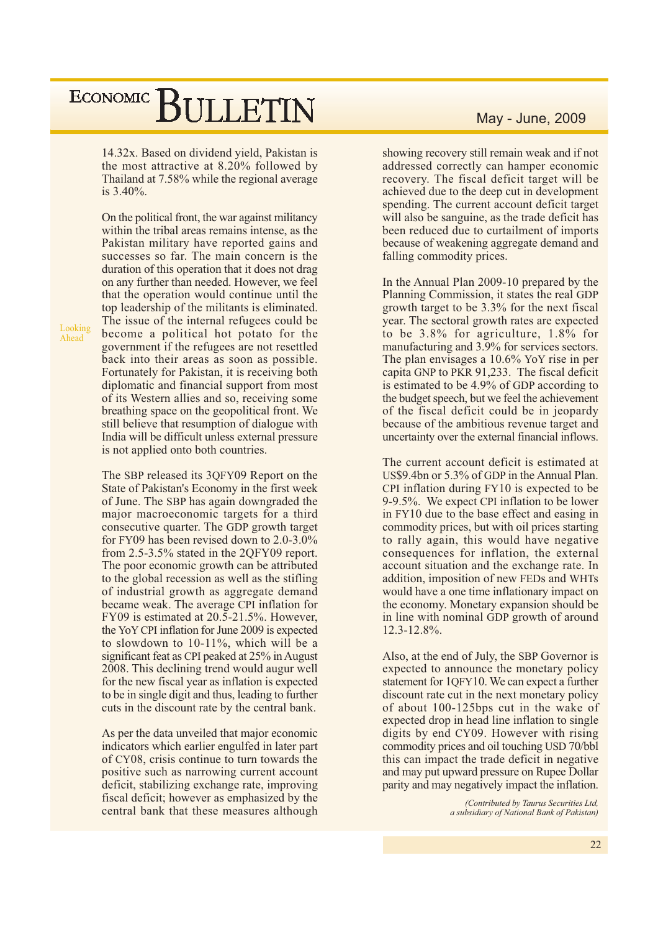14.32x. Based on dividend yield, Pakistan is the most attractive at 8.20% followed by Thailand at 7.58% while the regional average is  $3.40\%$ .

Looking Ahead

On the political front, the war against militancy within the tribal areas remains intense, as the Pakistan military have reported gains and successes so far. The main concern is the duration of this operation that it does not drag on any further than needed. However, we feel that the operation would continue until the top leadership of the militants is eliminated. The issue of the internal refugees could be become a political hot potato for the government if the refugees are not resettled back into their areas as soon as possible. Fortunately for Pakistan, it is receiving both diplomatic and financial support from most of its Western allies and so, receiving some breathing space on the geopolitical front. We still believe that resumption of dialogue with India will be difficult unless external pressure is not applied onto both countries.

The SBP released its 3QFY09 Report on the State of Pakistan's Economy in the first week of June. The SBP has again downgraded the major macroeconomic targets for a third consecutive quarter. The GDP growth target for FY09 has been revised down to  $2.0\n-3.0\%$ from 2.5-3.5% stated in the 2QFY09 report. The poor economic growth can be attributed to the global recession as well as the stifling of industrial growth as aggregate demand became weak. The average CPI inflation for FY09 is estimated at  $20.5$ -21.5%. However, the YoY CPI inflation for June 2009 is expected to slowdown to 10-11%, which will be a significant feat as CPI peaked at 25% in August 2008. This declining trend would augur well for the new fiscal year as inflation is expected to be in single digit and thus, leading to further cuts in the discount rate by the central bank.

As per the data unveiled that major economic indicators which earlier engulfed in later part of CY08, crisis continue to turn towards the positive such as narrowing current account deficit, stabilizing exchange rate, improving fiscal deficit; however as emphasized by the central bank that these measures although

#### May - June, 2009

showing recovery still remain weak and if not addressed correctly can hamper economic recovery. The fiscal deficit target will be achieved due to the deep cut in development spending. The current account deficit target will also be sanguine, as the trade deficit has been reduced due to curtailment of imports because of weakening aggregate demand and falling commodity prices.

In the Annual Plan 2009-10 prepared by the Planning Commission, it states the real GDP growth target to be 3.3% for the next fiscal year. The sectoral growth rates are expected to be 3.8% for agriculture, 1.8% for manufacturing and 3.9% for services sectors. The plan envisages a  $10.6\%$  YoY rise in per capita GNP to PKR 91,233. The fiscal deficit is estimated to be 4.9% of GDP according to the budget speech, but we feel the achievement of the fiscal deficit could be in jeopardy because of the ambitious revenue target and uncertainty over the external financial inflows.

The current account deficit is estimated at US\$9.4bn or 5.3% of GDP in the Annual Plan. CPI inflation during FY10 is expected to be 9-9.5%. We expect CPI inflation to be lower in FY10 due to the base effect and easing in commodity prices, but with oil prices starting to rally again, this would have negative consequences for inflation, the external account situation and the exchange rate. In addition, imposition of new FEDs and WHTs would have a one time inflationary impact on the economy. Monetary expansion should be in line with nominal GDP growth of around  $12.3 - 12.8\%$ .

Also, at the end of July, the SBP Governor is expected to announce the monetary policy statement for 1QFY10. We can expect a further discount rate cut in the next monetary policy of about 100-125bps cut in the wake of expected drop in head line inflation to single digits by end CY09. However with rising commodity prices and oil touching USD 70/bbl this can impact the trade deficit in negative and may put upward pressure on Rupee Dollar parity and may negatively impact the inflation.

> (Contributed by Taurus Securities Ltd, a subsidiary of National Bank of Pakistan)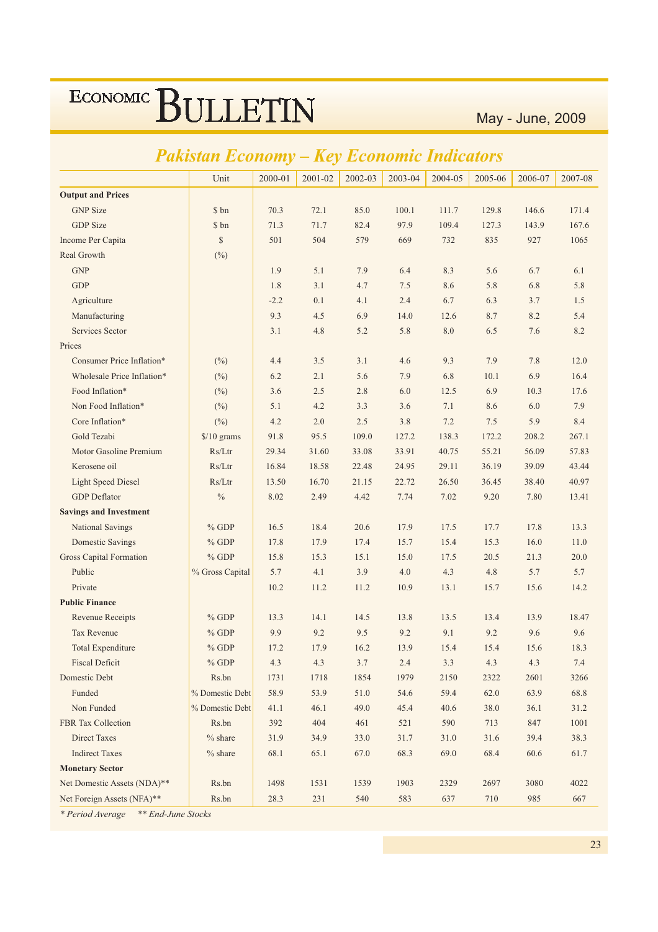May - June, 2009

|                                | Fukisiun Economy —   |         | ney     |         | <b>ECONOMIC INAICAIOFS</b> |         |         |         |         |
|--------------------------------|----------------------|---------|---------|---------|----------------------------|---------|---------|---------|---------|
|                                | Unit                 | 2000-01 | 2001-02 | 2002-03 | 2003-04                    | 2004-05 | 2005-06 | 2006-07 | 2007-08 |
| <b>Output and Prices</b>       |                      |         |         |         |                            |         |         |         |         |
| <b>GNP</b> Size                | \$ bn                | 70.3    | 72.1    | 85.0    | 100.1                      | 111.7   | 129.8   | 146.6   | 171.4   |
| <b>GDP</b> Size                | \$ bn                | 71.3    | 71.7    | 82.4    | 97.9                       | 109.4   | 127.3   | 143.9   | 167.6   |
| Income Per Capita              | \$                   | 501     | 504     | 579     | 669                        | 732     | 835     | 927     | 1065    |
| Real Growth                    | $(\%)$               |         |         |         |                            |         |         |         |         |
| <b>GNP</b>                     |                      | 1.9     | 5.1     | 7.9     | 6.4                        | 8.3     | 5.6     | 6.7     | 6.1     |
| <b>GDP</b>                     |                      | 1.8     | 3.1     | 4.7     | 7.5                        | 8.6     | 5.8     | 6.8     | 5.8     |
| Agriculture                    |                      | $-2.2$  | 0.1     | 4.1     | 2.4                        | 6.7     | 6.3     | 3.7     | 1.5     |
| Manufacturing                  |                      | 9.3     | 4.5     | 6.9     | 14.0                       | 12.6    | 8.7     | 8.2     | 5.4     |
| Services Sector                |                      | 3.1     | 4.8     | 5.2     | 5.8                        | 8.0     | 6.5     | 7.6     | 8.2     |
| Prices                         |                      |         |         |         |                            |         |         |         |         |
| Consumer Price Inflation*      | (%)                  | 4.4     | 3.5     | 3.1     | 4.6                        | 9.3     | 7.9     | 7.8     | 12.0    |
| Wholesale Price Inflation*     | $(\%)$               | 6.2     | 2.1     | 5.6     | 7.9                        | 6.8     | 10.1    | 6.9     | 16.4    |
| Food Inflation*                | $(\%)$               | 3.6     | 2.5     | 2.8     | 6.0                        | 12.5    | 6.9     | 10.3    | 17.6    |
| Non Food Inflation*            | $(\%)$               | 5.1     | 4.2     | 3.3     | 3.6                        | 7.1     | 8.6     | 6.0     | 7.9     |
| Core Inflation*                | $(\%)$               | 4.2     | 2.0     | 2.5     | 3.8                        | 7.2     | 7.5     | 5.9     | 8.4     |
| Gold Tezabi                    | $\frac{$}{10}$ grams | 91.8    | 95.5    | 109.0   | 127.2                      | 138.3   | 172.2   | 208.2   | 267.1   |
| Motor Gasoline Premium         | Rs/Ltr               | 29.34   | 31.60   | 33.08   | 33.91                      | 40.75   | 55.21   | 56.09   | 57.83   |
| Kerosene oil                   | Rs/Ltr               | 16.84   | 18.58   | 22.48   | 24.95                      | 29.11   | 36.19   | 39.09   | 43.44   |
| <b>Light Speed Diesel</b>      | Rs/Ltr               | 13.50   | 16.70   | 21.15   | 22.72                      | 26.50   | 36.45   | 38.40   | 40.97   |
| <b>GDP</b> Deflator            | $\frac{0}{0}$        | 8.02    | 2.49    | 4.42    | 7.74                       | 7.02    | 9.20    | 7.80    | 13.41   |
| <b>Savings and Investment</b>  |                      |         |         |         |                            |         |         |         |         |
| National Savings               | $%$ GDP              | 16.5    | 18.4    | 20.6    | 17.9                       | 17.5    | 17.7    | 17.8    | 13.3    |
| <b>Domestic Savings</b>        | $%$ GDP              | 17.8    | 17.9    | 17.4    | 15.7                       | 15.4    | 15.3    | 16.0    | 11.0    |
| <b>Gross Capital Formation</b> | $%$ GDP              | 15.8    | 15.3    | 15.1    | 15.0                       | 17.5    | 20.5    | 21.3    | 20.0    |
| Public                         | % Gross Capital      | 5.7     | 4.1     | 3.9     | 4.0                        | 4.3     | 4.8     | 5.7     | 5.7     |
| Private                        |                      | 10.2    | 11.2    | 11.2    | 10.9                       | 13.1    | 15.7    | 15.6    | 14.2    |
| <b>Public Finance</b>          |                      |         |         |         |                            |         |         |         |         |
| <b>Revenue Receipts</b>        | $%$ GDP              | 13.3    | 14.1    | 14.5    | 13.8                       | 13.5    | 13.4    | 13.9    | 18.47   |
| <b>Tax Revenue</b>             | $%$ GDP              | 9.9     | 9.2     | 9.5     | 9.2                        | 9.1     | 9.2     | 9.6     | 9.6     |
| <b>Total Expenditure</b>       | $%$ GDP              | 17.2    | 17.9    | 16.2    | 13.9                       | 15.4    | 15.4    | 15.6    | 18.3    |
| <b>Fiscal Deficit</b>          | $\%$ GDP             | 4.3     | 4.3     | 3.7     | 2.4                        | 3.3     | 4.3     | 4.3     | 7.4     |
| Domestic Debt                  | Rs.bn                | 1731    | 1718    | 1854    | 1979                       | 2150    | 2322    | 2601    | 3266    |
| Funded                         | % Domestic Debt      | 58.9    | 53.9    | 51.0    | 54.6                       | 59.4    | 62.0    | 63.9    | 68.8    |
| Non Funded                     | % Domestic Debt      | 41.1    | 46.1    | 49.0    | 45.4                       | 40.6    | 38.0    | 36.1    | 31.2    |
| <b>FBR Tax Collection</b>      | Rs.bn                | 392     | 404     | 461     | 521                        | 590     | 713     | 847     | 1001    |
| Direct Taxes                   | $%$ share            | 31.9    | 34.9    | 33.0    | 31.7                       | 31.0    | 31.6    | 39.4    | 38.3    |
| <b>Indirect Taxes</b>          | $%$ share            | 68.1    | 65.1    | 67.0    | 68.3                       | 69.0    | 68.4    | 60.6    | 61.7    |
| <b>Monetary Sector</b>         |                      |         |         |         |                            |         |         |         |         |
| Net Domestic Assets (NDA)**    | Rs.bn                | 1498    | 1531    | 1539    | 1903                       | 2329    | 2697    | 3080    | 4022    |
| Net Foreign Assets (NFA)**     | Rs.bn                | 28.3    | 231     | 540     | 583                        | 637     | 710     | 985     | 667     |

### Dalistan Feanann Kay Feanania Indiantary

\* Period Average \*\* End-June Stocks